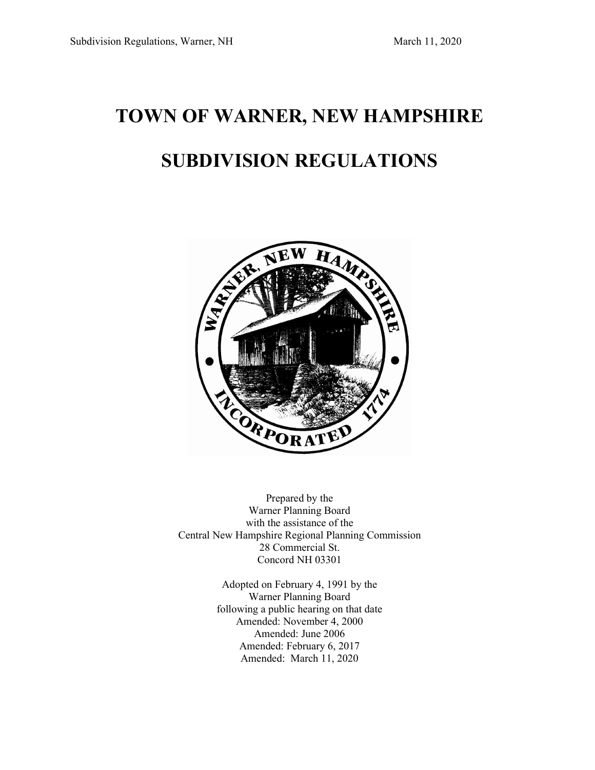# **TOWN OF WARNER, NEW HAMPSHIRE SUBDIVISION REGULATIONS**



Prepared by the Warner Planning Board with the assistance of the Central New Hampshire Regional Planning Commission 28 Commercial St. Concord NH 03301

> Adopted on February 4, 1991 by the Warner Planning Board following a public hearing on that date Amended: November 4, 2000 Amended: June 2006 Amended: February 6, 2017 Amended: March 11, 2020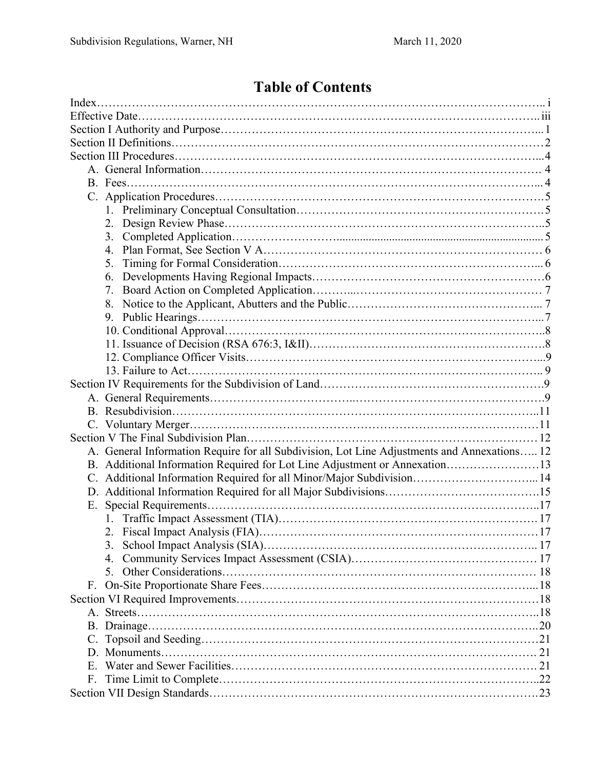# **Table of Contents**

| 2.<br>3.<br>4.<br>5.<br>6.<br>7.<br>8.<br>9.<br>A. General Information Require for all Subdivision, Lot Line Adjustments and Annexations 12<br>B. Additional Information Required for Lot Line Adjustment or Annexation13<br>C. Additional Information Required for all Minor/Major Subdivision 14<br>Ε.<br>4.<br>E. |  |
|----------------------------------------------------------------------------------------------------------------------------------------------------------------------------------------------------------------------------------------------------------------------------------------------------------------------|--|
|                                                                                                                                                                                                                                                                                                                      |  |
|                                                                                                                                                                                                                                                                                                                      |  |
|                                                                                                                                                                                                                                                                                                                      |  |
|                                                                                                                                                                                                                                                                                                                      |  |
|                                                                                                                                                                                                                                                                                                                      |  |
|                                                                                                                                                                                                                                                                                                                      |  |
|                                                                                                                                                                                                                                                                                                                      |  |
|                                                                                                                                                                                                                                                                                                                      |  |
|                                                                                                                                                                                                                                                                                                                      |  |
|                                                                                                                                                                                                                                                                                                                      |  |
|                                                                                                                                                                                                                                                                                                                      |  |
|                                                                                                                                                                                                                                                                                                                      |  |
|                                                                                                                                                                                                                                                                                                                      |  |
|                                                                                                                                                                                                                                                                                                                      |  |
|                                                                                                                                                                                                                                                                                                                      |  |
|                                                                                                                                                                                                                                                                                                                      |  |
|                                                                                                                                                                                                                                                                                                                      |  |
|                                                                                                                                                                                                                                                                                                                      |  |
|                                                                                                                                                                                                                                                                                                                      |  |
|                                                                                                                                                                                                                                                                                                                      |  |
|                                                                                                                                                                                                                                                                                                                      |  |
|                                                                                                                                                                                                                                                                                                                      |  |
|                                                                                                                                                                                                                                                                                                                      |  |
|                                                                                                                                                                                                                                                                                                                      |  |
|                                                                                                                                                                                                                                                                                                                      |  |
|                                                                                                                                                                                                                                                                                                                      |  |
|                                                                                                                                                                                                                                                                                                                      |  |
|                                                                                                                                                                                                                                                                                                                      |  |
|                                                                                                                                                                                                                                                                                                                      |  |
|                                                                                                                                                                                                                                                                                                                      |  |
|                                                                                                                                                                                                                                                                                                                      |  |
|                                                                                                                                                                                                                                                                                                                      |  |
|                                                                                                                                                                                                                                                                                                                      |  |
|                                                                                                                                                                                                                                                                                                                      |  |
|                                                                                                                                                                                                                                                                                                                      |  |
|                                                                                                                                                                                                                                                                                                                      |  |
|                                                                                                                                                                                                                                                                                                                      |  |
|                                                                                                                                                                                                                                                                                                                      |  |
|                                                                                                                                                                                                                                                                                                                      |  |
|                                                                                                                                                                                                                                                                                                                      |  |
|                                                                                                                                                                                                                                                                                                                      |  |
|                                                                                                                                                                                                                                                                                                                      |  |
|                                                                                                                                                                                                                                                                                                                      |  |
|                                                                                                                                                                                                                                                                                                                      |  |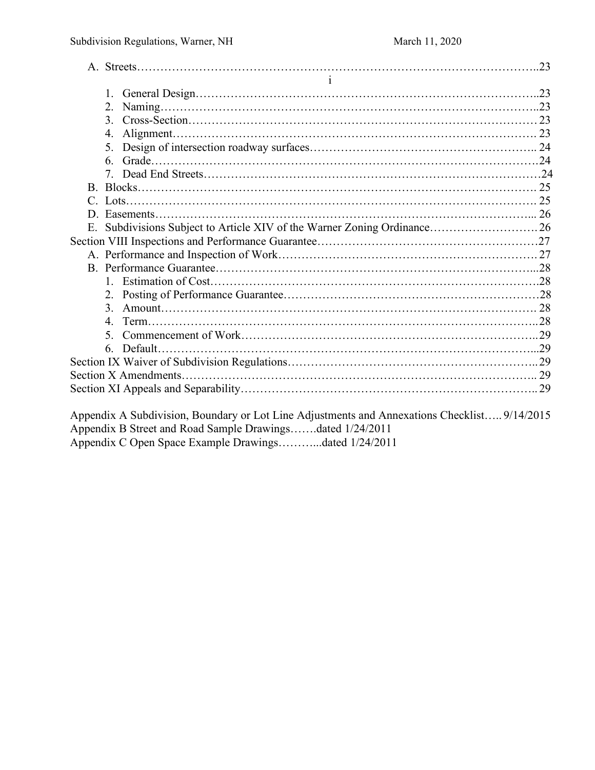| $\mathbf{i}$                                                             |  |
|--------------------------------------------------------------------------|--|
| 1.                                                                       |  |
| 2.                                                                       |  |
| 3.                                                                       |  |
| 4.                                                                       |  |
| 5.                                                                       |  |
| 6.                                                                       |  |
|                                                                          |  |
|                                                                          |  |
|                                                                          |  |
|                                                                          |  |
| E. Subdivisions Subject to Article XIV of the Warner Zoning Ordinance 26 |  |
|                                                                          |  |
|                                                                          |  |
|                                                                          |  |
|                                                                          |  |
|                                                                          |  |
| $3_{-}$                                                                  |  |
| $\mathbf{4}$ .                                                           |  |
| 5.                                                                       |  |
| 6.                                                                       |  |
|                                                                          |  |
|                                                                          |  |
|                                                                          |  |
|                                                                          |  |

Appendix A Subdivision, Boundary or Lot Line Adjustments and Annexations Checklist….. 9/14/2015 Appendix B Street and Road Sample Drawings…….dated 1/24/2011 Appendix C Open Space Example Drawings………...dated 1/24/2011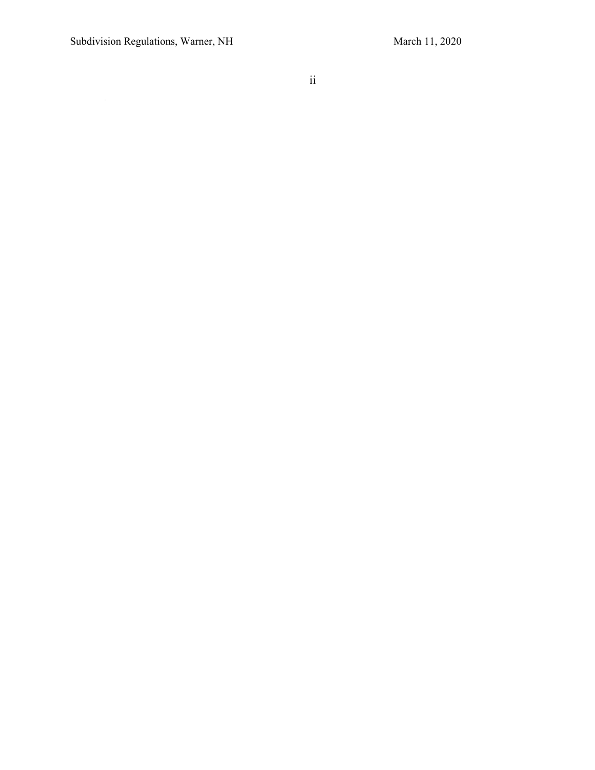ii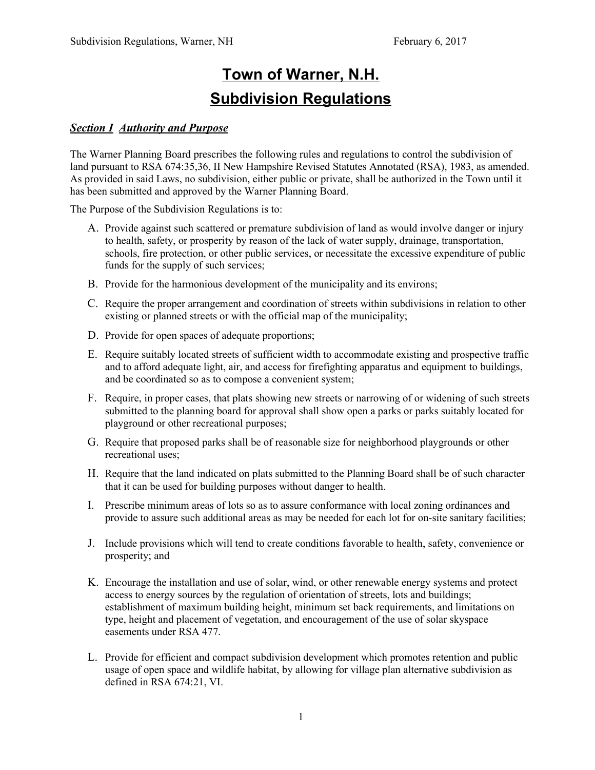# **Town of Warner, N.H. Subdivision Regulations**

#### *Section I Authority and Purpose*

The Warner Planning Board prescribes the following rules and regulations to control the subdivision of land pursuant to RSA 674:35,36, II New Hampshire Revised Statutes Annotated (RSA), 1983, as amended. As provided in said Laws, no subdivision, either public or private, shall be authorized in the Town until it has been submitted and approved by the Warner Planning Board.

The Purpose of the Subdivision Regulations is to:

- A. Provide against such scattered or premature subdivision of land as would involve danger or injury to health, safety, or prosperity by reason of the lack of water supply, drainage, transportation, schools, fire protection, or other public services, or necessitate the excessive expenditure of public funds for the supply of such services;
- B. Provide for the harmonious development of the municipality and its environs;
- C. Require the proper arrangement and coordination of streets within subdivisions in relation to other existing or planned streets or with the official map of the municipality;
- D. Provide for open spaces of adequate proportions;
- E. Require suitably located streets of sufficient width to accommodate existing and prospective traffic and to afford adequate light, air, and access for firefighting apparatus and equipment to buildings, and be coordinated so as to compose a convenient system;
- F. Require, in proper cases, that plats showing new streets or narrowing of or widening of such streets submitted to the planning board for approval shall show open a parks or parks suitably located for playground or other recreational purposes;
- G. Require that proposed parks shall be of reasonable size for neighborhood playgrounds or other recreational uses;
- H. Require that the land indicated on plats submitted to the Planning Board shall be of such character that it can be used for building purposes without danger to health.
- I. Prescribe minimum areas of lots so as to assure conformance with local zoning ordinances and provide to assure such additional areas as may be needed for each lot for on-site sanitary facilities;
- J. Include provisions which will tend to create conditions favorable to health, safety, convenience or prosperity; and
- K. Encourage the installation and use of solar, wind, or other renewable energy systems and protect access to energy sources by the regulation of orientation of streets, lots and buildings; establishment of maximum building height, minimum set back requirements, and limitations on type, height and placement of vegetation, and encouragement of the use of solar skyspace easements under RSA 477.
- L. Provide for efficient and compact subdivision development which promotes retention and public usage of open space and wildlife habitat, by allowing for village plan alternative subdivision as defined in RSA 674:21, VI.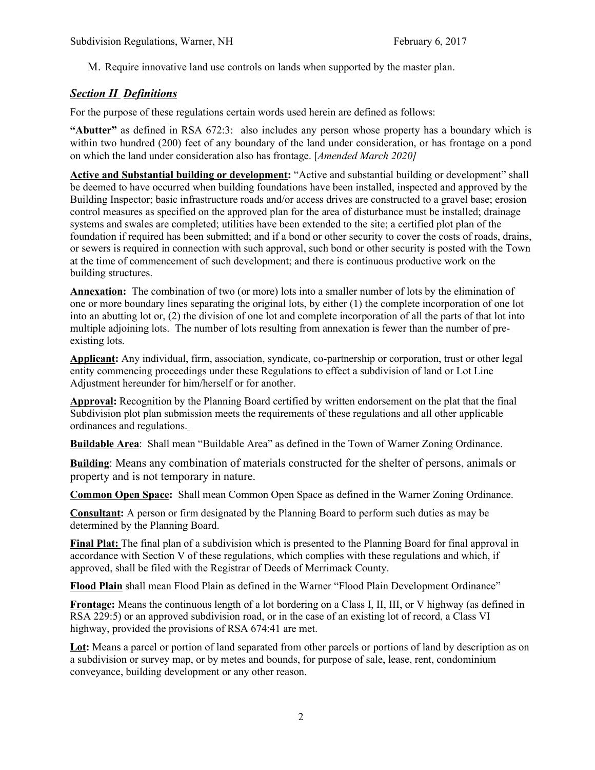M. Require innovative land use controls on lands when supported by the master plan.

## *Section II Definitions*

For the purpose of these regulations certain words used herein are defined as follows:

**"Abutter"** as defined in RSA 672:3: also includes any person whose property has a boundary which is within two hundred (200) feet of any boundary of the land under consideration, or has frontage on a pond on which the land under consideration also has frontage. [*Amended March 2020]*

**Active and Substantial building or development:** "Active and substantial building or development" shall be deemed to have occurred when building foundations have been installed, inspected and approved by the Building Inspector; basic infrastructure roads and/or access drives are constructed to a gravel base; erosion control measures as specified on the approved plan for the area of disturbance must be installed; drainage systems and swales are completed; utilities have been extended to the site; a certified plot plan of the foundation if required has been submitted; and if a bond or other security to cover the costs of roads, drains, or sewers is required in connection with such approval, such bond or other security is posted with the Town at the time of commencement of such development; and there is continuous productive work on the building structures.

**Annexation:** The combination of two (or more) lots into a smaller number of lots by the elimination of one or more boundary lines separating the original lots, by either (1) the complete incorporation of one lot into an abutting lot or, (2) the division of one lot and complete incorporation of all the parts of that lot into multiple adjoining lots. The number of lots resulting from annexation is fewer than the number of preexisting lots.

**Applicant:** Any individual, firm, association, syndicate, co-partnership or corporation, trust or other legal entity commencing proceedings under these Regulations to effect a subdivision of land or Lot Line Adjustment hereunder for him/herself or for another.

**Approval:** Recognition by the Planning Board certified by written endorsement on the plat that the final Subdivision plot plan submission meets the requirements of these regulations and all other applicable ordinances and regulations.

**Buildable Area**: Shall mean "Buildable Area" as defined in the Town of Warner Zoning Ordinance.

**Building**: Means any combination of materials constructed for the shelter of persons, animals or property and is not temporary in nature.

**Common Open Space:** Shall mean Common Open Space as defined in the Warner Zoning Ordinance.

**Consultant:** A person or firm designated by the Planning Board to perform such duties as may be determined by the Planning Board.

**Final Plat:** The final plan of a subdivision which is presented to the Planning Board for final approval in accordance with Section V of these regulations, which complies with these regulations and which, if approved, shall be filed with the Registrar of Deeds of Merrimack County.

**Flood Plain** shall mean Flood Plain as defined in the Warner "Flood Plain Development Ordinance"

**Frontage:** Means the continuous length of a lot bordering on a Class I, II, III, or V highway (as defined in RSA 229:5) or an approved subdivision road, or in the case of an existing lot of record, a Class VI highway, provided the provisions of RSA 674:41 are met.

**Lot:** Means a parcel or portion of land separated from other parcels or portions of land by description as on a subdivision or survey map, or by metes and bounds, for purpose of sale, lease, rent, condominium conveyance, building development or any other reason.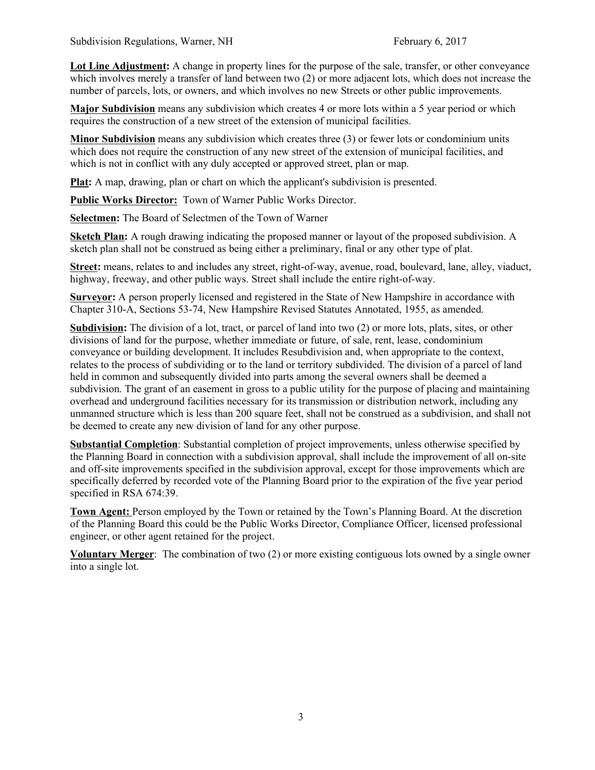**Lot Line Adjustment:** A change in property lines for the purpose of the sale, transfer, or other conveyance which involves merely a transfer of land between two (2) or more adjacent lots, which does not increase the number of parcels, lots, or owners, and which involves no new Streets or other public improvements.

**Major Subdivision** means any subdivision which creates 4 or more lots within a 5 year period or which requires the construction of a new street of the extension of municipal facilities.

**Minor Subdivision** means any subdivision which creates three (3) or fewer lots or condominium units which does not require the construction of any new street of the extension of municipal facilities, and which is not in conflict with any duly accepted or approved street, plan or map.

**Plat:** A map, drawing, plan or chart on which the applicant's subdivision is presented.

**Public Works Director:** Town of Warner Public Works Director.

**Selectmen:** The Board of Selectmen of the Town of Warner

**Sketch Plan:** A rough drawing indicating the proposed manner or layout of the proposed subdivision. A sketch plan shall not be construed as being either a preliminary, final or any other type of plat.

**Street:** means, relates to and includes any street, right-of-way, avenue, road, boulevard, lane, alley, viaduct, highway, freeway, and other public ways. Street shall include the entire right-of-way.

**Surveyor:** A person properly licensed and registered in the State of New Hampshire in accordance with Chapter 310-A, Sections 53-74, New Hampshire Revised Statutes Annotated, 1955, as amended.

**Subdivision:** The division of a lot, tract, or parcel of land into two (2) or more lots, plats, sites, or other divisions of land for the purpose, whether immediate or future, of sale, rent, lease, condominium conveyance or building development. It includes Resubdivision and, when appropriate to the context, relates to the process of subdividing or to the land or territory subdivided. The division of a parcel of land held in common and subsequently divided into parts among the several owners shall be deemed a subdivision. The grant of an easement in gross to a public utility for the purpose of placing and maintaining overhead and underground facilities necessary for its transmission or distribution network, including any unmanned structure which is less than 200 square feet, shall not be construed as a subdivision, and shall not be deemed to create any new division of land for any other purpose.

**Substantial Completion**: Substantial completion of project improvements, unless otherwise specified by the Planning Board in connection with a subdivision approval, shall include the improvement of all on-site and off-site improvements specified in the subdivision approval, except for those improvements which are specifically deferred by recorded vote of the Planning Board prior to the expiration of the five year period specified in RSA 674:39.

**Town Agent:** Person employed by the Town or retained by the Town's Planning Board. At the discretion of the Planning Board this could be the Public Works Director, Compliance Officer, licensed professional engineer, or other agent retained for the project.

**Voluntary Merger**: The combination of two (2) or more existing contiguous lots owned by a single owner into a single lot.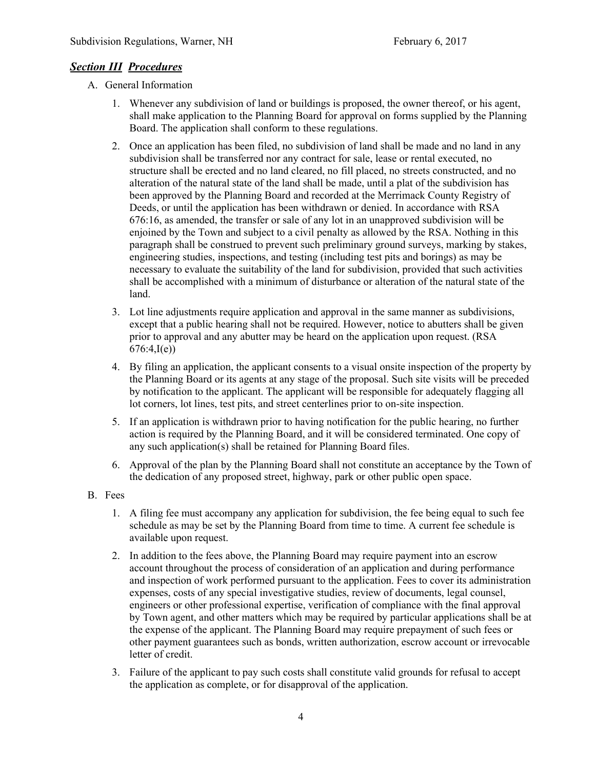#### *Section III**Procedures*

- A. General Information
	- 1. Whenever any subdivision of land or buildings is proposed, the owner thereof, or his agent, shall make application to the Planning Board for approval on forms supplied by the Planning Board. The application shall conform to these regulations.
	- 2. Once an application has been filed, no subdivision of land shall be made and no land in any subdivision shall be transferred nor any contract for sale, lease or rental executed, no structure shall be erected and no land cleared, no fill placed, no streets constructed, and no alteration of the natural state of the land shall be made, until a plat of the subdivision has been approved by the Planning Board and recorded at the Merrimack County Registry of Deeds, or until the application has been withdrawn or denied. In accordance with RSA 676:16, as amended, the transfer or sale of any lot in an unapproved subdivision will be enjoined by the Town and subject to a civil penalty as allowed by the RSA. Nothing in this paragraph shall be construed to prevent such preliminary ground surveys, marking by stakes, engineering studies, inspections, and testing (including test pits and borings) as may be necessary to evaluate the suitability of the land for subdivision, provided that such activities shall be accomplished with a minimum of disturbance or alteration of the natural state of the land.
	- 3. Lot line adjustments require application and approval in the same manner as subdivisions, except that a public hearing shall not be required. However, notice to abutters shall be given prior to approval and any abutter may be heard on the application upon request. (RSA  $676:4, I(e)$
	- 4. By filing an application, the applicant consents to a visual onsite inspection of the property by the Planning Board or its agents at any stage of the proposal. Such site visits will be preceded by notification to the applicant. The applicant will be responsible for adequately flagging all lot corners, lot lines, test pits, and street centerlines prior to on-site inspection.
	- 5. If an application is withdrawn prior to having notification for the public hearing, no further action is required by the Planning Board, and it will be considered terminated. One copy of any such application(s) shall be retained for Planning Board files.
	- 6. Approval of the plan by the Planning Board shall not constitute an acceptance by the Town of the dedication of any proposed street, highway, park or other public open space.
- B. Fees
	- 1. A filing fee must accompany any application for subdivision, the fee being equal to such fee schedule as may be set by the Planning Board from time to time. A current fee schedule is available upon request.
	- 2. In addition to the fees above, the Planning Board may require payment into an escrow account throughout the process of consideration of an application and during performance and inspection of work performed pursuant to the application. Fees to cover its administration expenses, costs of any special investigative studies, review of documents, legal counsel, engineers or other professional expertise, verification of compliance with the final approval by Town agent, and other matters which may be required by particular applications shall be at the expense of the applicant. The Planning Board may require prepayment of such fees or other payment guarantees such as bonds, written authorization, escrow account or irrevocable letter of credit.
	- 3. Failure of the applicant to pay such costs shall constitute valid grounds for refusal to accept the application as complete, or for disapproval of the application.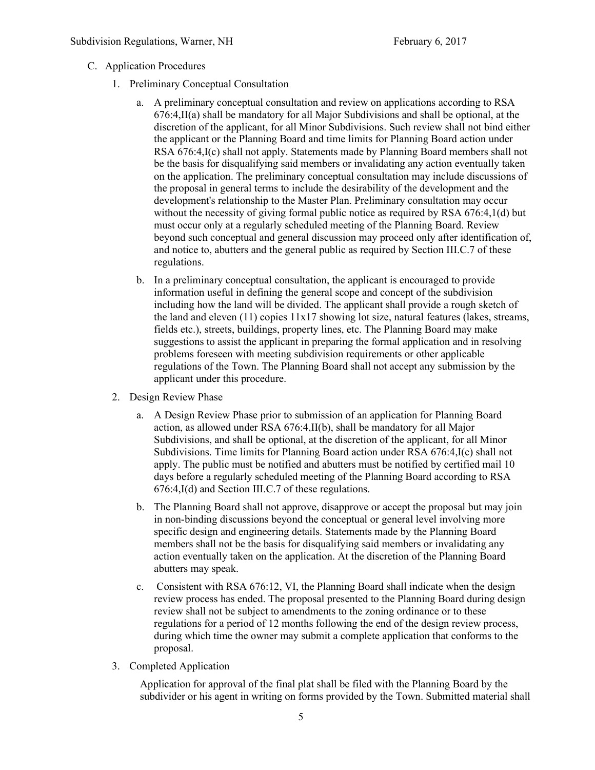- C. Application Procedures
	- 1. Preliminary Conceptual Consultation
		- a. A preliminary conceptual consultation and review on applications according to RSA 676:4,II(a) shall be mandatory for all Major Subdivisions and shall be optional, at the discretion of the applicant, for all Minor Subdivisions. Such review shall not bind either the applicant or the Planning Board and time limits for Planning Board action under RSA 676:4,I(c) shall not apply. Statements made by Planning Board members shall not be the basis for disqualifying said members or invalidating any action eventually taken on the application. The preliminary conceptual consultation may include discussions of the proposal in general terms to include the desirability of the development and the development's relationship to the Master Plan. Preliminary consultation may occur without the necessity of giving formal public notice as required by RSA 676:4,1(d) but must occur only at a regularly scheduled meeting of the Planning Board. Review beyond such conceptual and general discussion may proceed only after identification of, and notice to, abutters and the general public as required by Section III.C.7 of these regulations.
		- b. In a preliminary conceptual consultation, the applicant is encouraged to provide information useful in defining the general scope and concept of the subdivision including how the land will be divided. The applicant shall provide a rough sketch of the land and eleven  $(11)$  copies  $11x17$  showing lot size, natural features (lakes, streams, fields etc.), streets, buildings, property lines, etc. The Planning Board may make suggestions to assist the applicant in preparing the formal application and in resolving problems foreseen with meeting subdivision requirements or other applicable regulations of the Town. The Planning Board shall not accept any submission by the applicant under this procedure.
	- 2. Design Review Phase
		- a. A Design Review Phase prior to submission of an application for Planning Board action, as allowed under RSA 676:4,II(b), shall be mandatory for all Major Subdivisions, and shall be optional, at the discretion of the applicant, for all Minor Subdivisions. Time limits for Planning Board action under RSA 676:4,I(c) shall not apply. The public must be notified and abutters must be notified by certified mail 10 days before a regularly scheduled meeting of the Planning Board according to RSA 676:4,I(d) and Section III.C.7 of these regulations.
		- b. The Planning Board shall not approve, disapprove or accept the proposal but may join in non-binding discussions beyond the conceptual or general level involving more specific design and engineering details. Statements made by the Planning Board members shall not be the basis for disqualifying said members or invalidating any action eventually taken on the application. At the discretion of the Planning Board abutters may speak.
		- c. Consistent with RSA 676:12, VI, the Planning Board shall indicate when the design review process has ended. The proposal presented to the Planning Board during design review shall not be subject to amendments to the zoning ordinance or to these regulations for a period of 12 months following the end of the design review process, during which time the owner may submit a complete application that conforms to the proposal.
	- 3. Completed Application

Application for approval of the final plat shall be filed with the Planning Board by the subdivider or his agent in writing on forms provided by the Town. Submitted material shall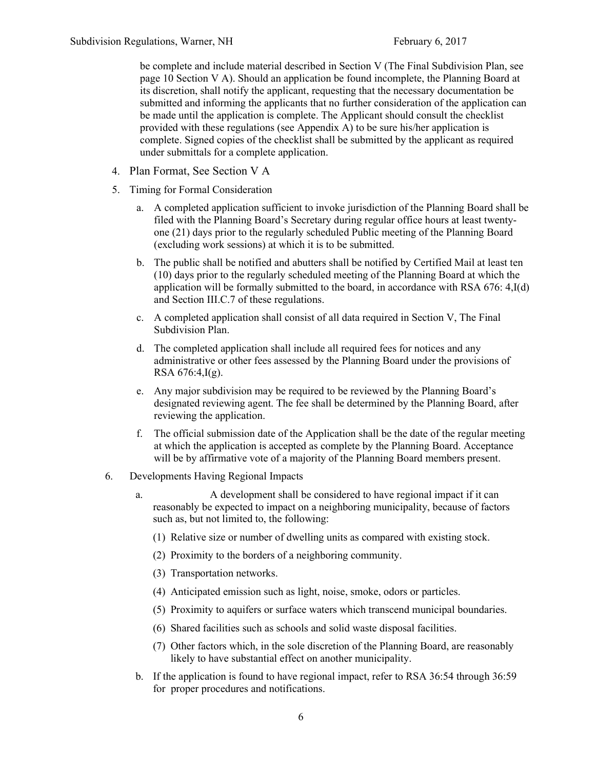be complete and include material described in Section V (The Final Subdivision Plan, see page 10 Section V A). Should an application be found incomplete, the Planning Board at its discretion, shall notify the applicant, requesting that the necessary documentation be submitted and informing the applicants that no further consideration of the application can be made until the application is complete. The Applicant should consult the checklist provided with these regulations (see Appendix A) to be sure his/her application is complete. Signed copies of the checklist shall be submitted by the applicant as required under submittals for a complete application.

- 4. Plan Format, See Section V A
- 5. Timing for Formal Consideration
	- a. A completed application sufficient to invoke jurisdiction of the Planning Board shall be filed with the Planning Board's Secretary during regular office hours at least twentyone (21) days prior to the regularly scheduled Public meeting of the Planning Board (excluding work sessions) at which it is to be submitted.
	- b. The public shall be notified and abutters shall be notified by Certified Mail at least ten (10) days prior to the regularly scheduled meeting of the Planning Board at which the application will be formally submitted to the board, in accordance with RSA 676: 4,I(d) and Section III.C.7 of these regulations.
	- c. A completed application shall consist of all data required in Section V, The Final Subdivision Plan.
	- d. The completed application shall include all required fees for notices and any administrative or other fees assessed by the Planning Board under the provisions of RSA  $676:4$ ,  $I(g)$ .
	- e. Any major subdivision may be required to be reviewed by the Planning Board's designated reviewing agent. The fee shall be determined by the Planning Board, after reviewing the application.
	- f. The official submission date of the Application shall be the date of the regular meeting at which the application is accepted as complete by the Planning Board. Acceptance will be by affirmative vote of a majority of the Planning Board members present.
- 6. Developments Having Regional Impacts
	- a. A development shall be considered to have regional impact if it can reasonably be expected to impact on a neighboring municipality, because of factors such as, but not limited to, the following:
		- (1) Relative size or number of dwelling units as compared with existing stock.
		- (2) Proximity to the borders of a neighboring community.
		- (3) Transportation networks.
		- (4) Anticipated emission such as light, noise, smoke, odors or particles.
		- (5) Proximity to aquifers or surface waters which transcend municipal boundaries.
		- (6) Shared facilities such as schools and solid waste disposal facilities.
		- (7) Other factors which, in the sole discretion of the Planning Board, are reasonably likely to have substantial effect on another municipality.
	- b. If the application is found to have regional impact, refer to RSA 36:54 through 36:59 for proper procedures and notifications.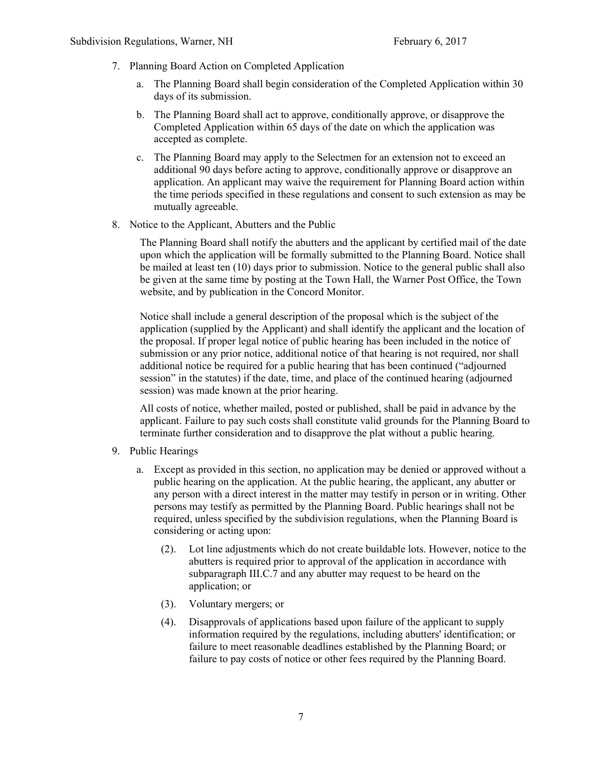- 7. Planning Board Action on Completed Application
	- a. The Planning Board shall begin consideration of the Completed Application within 30 days of its submission.
	- b. The Planning Board shall act to approve, conditionally approve, or disapprove the Completed Application within 65 days of the date on which the application was accepted as complete.
	- c. The Planning Board may apply to the Selectmen for an extension not to exceed an additional 90 days before acting to approve, conditionally approve or disapprove an application. An applicant may waive the requirement for Planning Board action within the time periods specified in these regulations and consent to such extension as may be mutually agreeable.
- 8. Notice to the Applicant, Abutters and the Public

The Planning Board shall notify the abutters and the applicant by certified mail of the date upon which the application will be formally submitted to the Planning Board. Notice shall be mailed at least ten (10) days prior to submission. Notice to the general public shall also be given at the same time by posting at the Town Hall, the Warner Post Office, the Town website, and by publication in the Concord Monitor.

Notice shall include a general description of the proposal which is the subject of the application (supplied by the Applicant) and shall identify the applicant and the location of the proposal. If proper legal notice of public hearing has been included in the notice of submission or any prior notice, additional notice of that hearing is not required, nor shall additional notice be required for a public hearing that has been continued ("adjourned session" in the statutes) if the date, time, and place of the continued hearing (adjourned session) was made known at the prior hearing.

All costs of notice, whether mailed, posted or published, shall be paid in advance by the applicant. Failure to pay such costs shall constitute valid grounds for the Planning Board to terminate further consideration and to disapprove the plat without a public hearing.

- 9. Public Hearings
	- a. Except as provided in this section, no application may be denied or approved without a public hearing on the application. At the public hearing, the applicant, any abutter or any person with a direct interest in the matter may testify in person or in writing. Other persons may testify as permitted by the Planning Board. Public hearings shall not be required, unless specified by the subdivision regulations, when the Planning Board is considering or acting upon:
		- (2). Lot line adjustments which do not create buildable lots. However, notice to the abutters is required prior to approval of the application in accordance with subparagraph III.C.7 and any abutter may request to be heard on the application; or
		- (3). Voluntary mergers; or
		- (4). Disapprovals of applications based upon failure of the applicant to supply information required by the regulations, including abutters' identification; or failure to meet reasonable deadlines established by the Planning Board; or failure to pay costs of notice or other fees required by the Planning Board.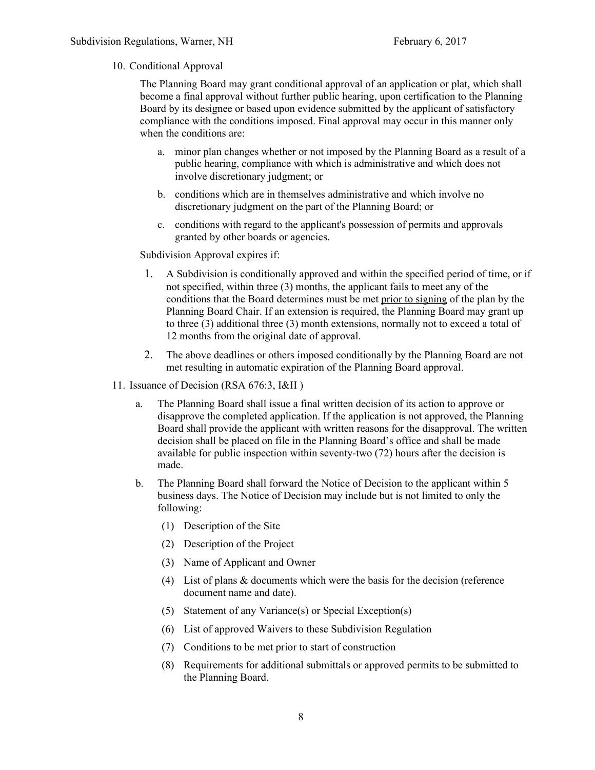#### 10. Conditional Approval

The Planning Board may grant conditional approval of an application or plat, which shall become a final approval without further public hearing, upon certification to the Planning Board by its designee or based upon evidence submitted by the applicant of satisfactory compliance with the conditions imposed. Final approval may occur in this manner only when the conditions are:

- a. minor plan changes whether or not imposed by the Planning Board as a result of a public hearing, compliance with which is administrative and which does not involve discretionary judgment; or
- b. conditions which are in themselves administrative and which involve no discretionary judgment on the part of the Planning Board; or
- c. conditions with regard to the applicant's possession of permits and approvals granted by other boards or agencies.

Subdivision Approval expires if:

- 1. A Subdivision is conditionally approved and within the specified period of time, or if not specified, within three (3) months, the applicant fails to meet any of the conditions that the Board determines must be met prior to signing of the plan by the Planning Board Chair. If an extension is required, the Planning Board may grant up to three (3) additional three (3) month extensions, normally not to exceed a total of 12 months from the original date of approval.
- 2. The above deadlines or others imposed conditionally by the Planning Board are not met resulting in automatic expiration of the Planning Board approval.
- 11. Issuance of Decision (RSA 676:3, I&II )
	- a. The Planning Board shall issue a final written decision of its action to approve or disapprove the completed application. If the application is not approved, the Planning Board shall provide the applicant with written reasons for the disapproval. The written decision shall be placed on file in the Planning Board's office and shall be made available for public inspection within seventy-two (72) hours after the decision is made.
	- b. The Planning Board shall forward the Notice of Decision to the applicant within 5 business days. The Notice of Decision may include but is not limited to only the following:
		- (1) Description of the Site
		- (2) Description of the Project
		- (3) Name of Applicant and Owner
		- (4) List of plans & documents which were the basis for the decision (reference document name and date).
		- (5) Statement of any Variance(s) or Special Exception(s)
		- (6) List of approved Waivers to these Subdivision Regulation
		- (7) Conditions to be met prior to start of construction
		- (8) Requirements for additional submittals or approved permits to be submitted to the Planning Board.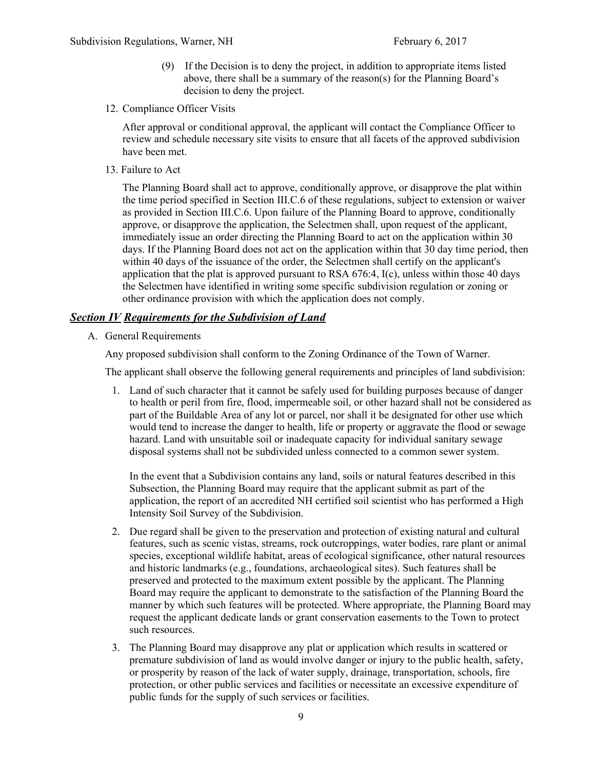- (9) If the Decision is to deny the project, in addition to appropriate items listed above, there shall be a summary of the reason(s) for the Planning Board's decision to deny the project.
- 12. Compliance Officer Visits

After approval or conditional approval, the applicant will contact the Compliance Officer to review and schedule necessary site visits to ensure that all facets of the approved subdivision have been met.

13. Failure to Act

The Planning Board shall act to approve, conditionally approve, or disapprove the plat within the time period specified in Section III.C.6 of these regulations, subject to extension or waiver as provided in Section III.C.6. Upon failure of the Planning Board to approve, conditionally approve, or disapprove the application, the Selectmen shall, upon request of the applicant, immediately issue an order directing the Planning Board to act on the application within 30 days. If the Planning Board does not act on the application within that 30 day time period, then within 40 days of the issuance of the order, the Selectmen shall certify on the applicant's application that the plat is approved pursuant to RSA  $676:4$ ,  $I(c)$ , unless within those 40 days the Selectmen have identified in writing some specific subdivision regulation or zoning or other ordinance provision with which the application does not comply.

#### *Section IV Requirements for the Subdivision of Land*

A. General Requirements

Any proposed subdivision shall conform to the Zoning Ordinance of the Town of Warner.

The applicant shall observe the following general requirements and principles of land subdivision:

1. Land of such character that it cannot be safely used for building purposes because of danger to health or peril from fire, flood, impermeable soil, or other hazard shall not be considered as part of the Buildable Area of any lot or parcel, nor shall it be designated for other use which would tend to increase the danger to health, life or property or aggravate the flood or sewage hazard. Land with unsuitable soil or inadequate capacity for individual sanitary sewage disposal systems shall not be subdivided unless connected to a common sewer system.

In the event that a Subdivision contains any land, soils or natural features described in this Subsection, the Planning Board may require that the applicant submit as part of the application, the report of an accredited NH certified soil scientist who has performed a High Intensity Soil Survey of the Subdivision.

- 2. Due regard shall be given to the preservation and protection of existing natural and cultural features, such as scenic vistas, streams, rock outcroppings, water bodies, rare plant or animal species, exceptional wildlife habitat, areas of ecological significance, other natural resources and historic landmarks (e.g., foundations, archaeological sites). Such features shall be preserved and protected to the maximum extent possible by the applicant. The Planning Board may require the applicant to demonstrate to the satisfaction of the Planning Board the manner by which such features will be protected. Where appropriate, the Planning Board may request the applicant dedicate lands or grant conservation easements to the Town to protect such resources.
- 3. The Planning Board may disapprove any plat or application which results in scattered or premature subdivision of land as would involve danger or injury to the public health, safety, or prosperity by reason of the lack of water supply, drainage, transportation, schools, fire protection, or other public services and facilities or necessitate an excessive expenditure of public funds for the supply of such services or facilities.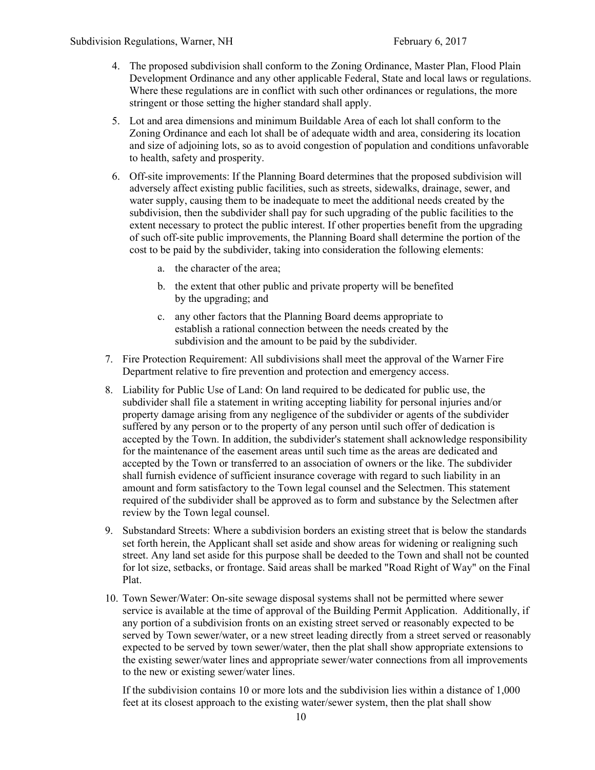- 4. The proposed subdivision shall conform to the Zoning Ordinance, Master Plan, Flood Plain Development Ordinance and any other applicable Federal, State and local laws or regulations. Where these regulations are in conflict with such other ordinances or regulations, the more stringent or those setting the higher standard shall apply.
- 5. Lot and area dimensions and minimum Buildable Area of each lot shall conform to the Zoning Ordinance and each lot shall be of adequate width and area, considering its location and size of adjoining lots, so as to avoid congestion of population and conditions unfavorable to health, safety and prosperity.
- 6. Off-site improvements: If the Planning Board determines that the proposed subdivision will adversely affect existing public facilities, such as streets, sidewalks, drainage, sewer, and water supply, causing them to be inadequate to meet the additional needs created by the subdivision, then the subdivider shall pay for such upgrading of the public facilities to the extent necessary to protect the public interest. If other properties benefit from the upgrading of such off-site public improvements, the Planning Board shall determine the portion of the cost to be paid by the subdivider, taking into consideration the following elements:
	- a. the character of the area;
	- b. the extent that other public and private property will be benefited by the upgrading; and
	- c. any other factors that the Planning Board deems appropriate to establish a rational connection between the needs created by the subdivision and the amount to be paid by the subdivider.
- 7. Fire Protection Requirement: All subdivisions shall meet the approval of the Warner Fire Department relative to fire prevention and protection and emergency access.
- 8. Liability for Public Use of Land: On land required to be dedicated for public use, the subdivider shall file a statement in writing accepting liability for personal injuries and/or property damage arising from any negligence of the subdivider or agents of the subdivider suffered by any person or to the property of any person until such offer of dedication is accepted by the Town. In addition, the subdivider's statement shall acknowledge responsibility for the maintenance of the easement areas until such time as the areas are dedicated and accepted by the Town or transferred to an association of owners or the like. The subdivider shall furnish evidence of sufficient insurance coverage with regard to such liability in an amount and form satisfactory to the Town legal counsel and the Selectmen. This statement required of the subdivider shall be approved as to form and substance by the Selectmen after review by the Town legal counsel.
- 9. Substandard Streets: Where a subdivision borders an existing street that is below the standards set forth herein, the Applicant shall set aside and show areas for widening or realigning such street. Any land set aside for this purpose shall be deeded to the Town and shall not be counted for lot size, setbacks, or frontage. Said areas shall be marked "Road Right of Way" on the Final Plat.
- 10. Town Sewer/Water: On-site sewage disposal systems shall not be permitted where sewer service is available at the time of approval of the Building Permit Application. Additionally, if any portion of a subdivision fronts on an existing street served or reasonably expected to be served by Town sewer/water, or a new street leading directly from a street served or reasonably expected to be served by town sewer/water, then the plat shall show appropriate extensions to the existing sewer/water lines and appropriate sewer/water connections from all improvements to the new or existing sewer/water lines.

If the subdivision contains 10 or more lots and the subdivision lies within a distance of 1,000 feet at its closest approach to the existing water/sewer system, then the plat shall show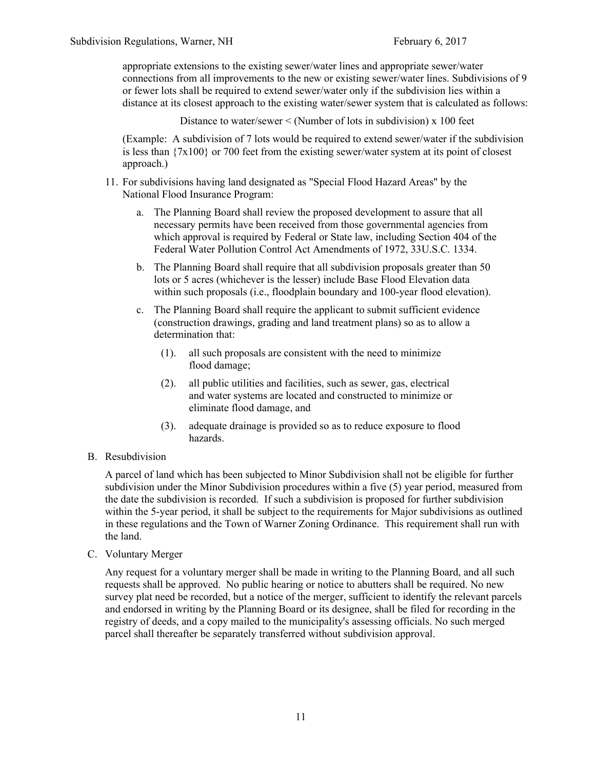appropriate extensions to the existing sewer/water lines and appropriate sewer/water connections from all improvements to the new or existing sewer/water lines. Subdivisions of 9 or fewer lots shall be required to extend sewer/water only if the subdivision lies within a distance at its closest approach to the existing water/sewer system that is calculated as follows:

Distance to water/sewer < (Number of lots in subdivision) x 100 feet

(Example: A subdivision of 7 lots would be required to extend sewer/water if the subdivision is less than  $\{7x100\}$  or 700 feet from the existing sewer/water system at its point of closest approach.)

- 11. For subdivisions having land designated as "Special Flood Hazard Areas" by the National Flood Insurance Program:
	- a. The Planning Board shall review the proposed development to assure that all necessary permits have been received from those governmental agencies from which approval is required by Federal or State law, including Section 404 of the Federal Water Pollution Control Act Amendments of 1972, 33U.S.C. 1334.
	- b. The Planning Board shall require that all subdivision proposals greater than 50 lots or 5 acres (whichever is the lesser) include Base Flood Elevation data within such proposals (i.e., floodplain boundary and 100-year flood elevation).
	- c. The Planning Board shall require the applicant to submit sufficient evidence (construction drawings, grading and land treatment plans) so as to allow a determination that:
		- (1). all such proposals are consistent with the need to minimize flood damage;
		- (2). all public utilities and facilities, such as sewer, gas, electrical and water systems are located and constructed to minimize or eliminate flood damage, and
		- (3). adequate drainage is provided so as to reduce exposure to flood hazards.

#### B. Resubdivision

A parcel of land which has been subjected to Minor Subdivision shall not be eligible for further subdivision under the Minor Subdivision procedures within a five (5) year period, measured from the date the subdivision is recorded. If such a subdivision is proposed for further subdivision within the 5-year period, it shall be subject to the requirements for Major subdivisions as outlined in these regulations and the Town of Warner Zoning Ordinance. This requirement shall run with the land.

C. Voluntary Merger

Any request for a voluntary merger shall be made in writing to the Planning Board, and all such requests shall be approved. No public hearing or notice to abutters shall be required. No new survey plat need be recorded, but a notice of the merger, sufficient to identify the relevant parcels and endorsed in writing by the Planning Board or its designee, shall be filed for recording in the registry of deeds, and a copy mailed to the municipality's assessing officials. No such merged parcel shall thereafter be separately transferred without subdivision approval.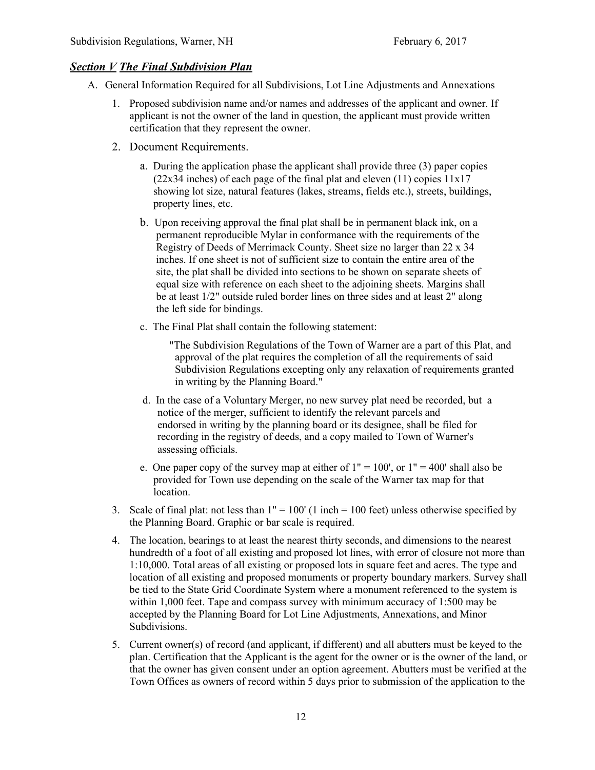#### *Section V The Final Subdivision Plan*

- A. General Information Required for all Subdivisions, Lot Line Adjustments and Annexations
	- 1. Proposed subdivision name and/or names and addresses of the applicant and owner. If applicant is not the owner of the land in question, the applicant must provide written certification that they represent the owner.
	- 2. Document Requirements.
		- a. During the application phase the applicant shall provide three (3) paper copies  $(22x34$  inches) of each page of the final plat and eleven  $(11)$  copies  $11x17$  showing lot size, natural features (lakes, streams, fields etc.), streets, buildings, property lines, etc.
		- b. Upon receiving approval the final plat shall be in permanent black ink, on a permanent reproducible Mylar in conformance with the requirements of the Registry of Deeds of Merrimack County. Sheet size no larger than 22 x 34 inches. If one sheet is not of sufficient size to contain the entire area of the site, the plat shall be divided into sections to be shown on separate sheets of equal size with reference on each sheet to the adjoining sheets. Margins shall be at least 1/2" outside ruled border lines on three sides and at least 2" along the left side for bindings.
		- c. The Final Plat shall contain the following statement:

 "The Subdivision Regulations of the Town of Warner are a part of this Plat, and approval of the plat requires the completion of all the requirements of said Subdivision Regulations excepting only any relaxation of requirements granted in writing by the Planning Board."

- d. In the case of a Voluntary Merger, no new survey plat need be recorded, but a notice of the merger, sufficient to identify the relevant parcels and endorsed in writing by the planning board or its designee, shall be filed for recording in the registry of deeds, and a copy mailed to Town of Warner's assessing officials.
- e. One paper copy of the survey map at either of  $1" = 100'$ , or  $1" = 400'$  shall also be provided for Town use depending on the scale of the Warner tax map for that location.
- 3. Scale of final plat: not less than  $1" = 100'$  (1 inch = 100 feet) unless otherwise specified by the Planning Board. Graphic or bar scale is required.
- 4. The location, bearings to at least the nearest thirty seconds, and dimensions to the nearest hundredth of a foot of all existing and proposed lot lines, with error of closure not more than 1:10,000. Total areas of all existing or proposed lots in square feet and acres. The type and location of all existing and proposed monuments or property boundary markers. Survey shall be tied to the State Grid Coordinate System where a monument referenced to the system is within 1,000 feet. Tape and compass survey with minimum accuracy of 1:500 may be accepted by the Planning Board for Lot Line Adjustments, Annexations, and Minor Subdivisions.
- 5. Current owner(s) of record (and applicant, if different) and all abutters must be keyed to the plan. Certification that the Applicant is the agent for the owner or is the owner of the land, or that the owner has given consent under an option agreement. Abutters must be verified at the Town Offices as owners of record within 5 days prior to submission of the application to the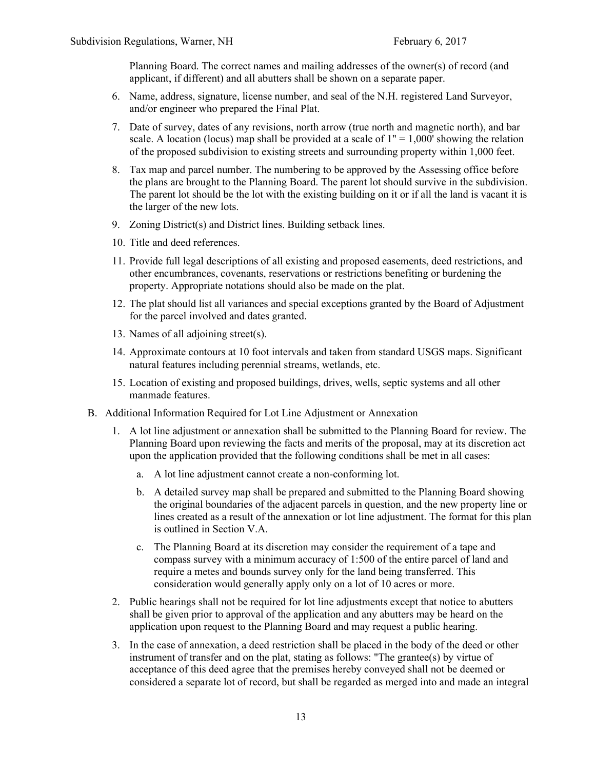Planning Board. The correct names and mailing addresses of the owner(s) of record (and applicant, if different) and all abutters shall be shown on a separate paper.

- 6. Name, address, signature, license number, and seal of the N.H. registered Land Surveyor, and/or engineer who prepared the Final Plat.
- 7. Date of survey, dates of any revisions, north arrow (true north and magnetic north), and bar scale. A location (locus) map shall be provided at a scale of  $1" = 1,000'$  showing the relation of the proposed subdivision to existing streets and surrounding property within 1,000 feet.
- 8. Tax map and parcel number. The numbering to be approved by the Assessing office before the plans are brought to the Planning Board. The parent lot should survive in the subdivision. The parent lot should be the lot with the existing building on it or if all the land is vacant it is the larger of the new lots.
- 9. Zoning District(s) and District lines. Building setback lines.
- 10. Title and deed references.
- 11. Provide full legal descriptions of all existing and proposed easements, deed restrictions, and other encumbrances, covenants, reservations or restrictions benefiting or burdening the property. Appropriate notations should also be made on the plat.
- 12. The plat should list all variances and special exceptions granted by the Board of Adjustment for the parcel involved and dates granted.
- 13. Names of all adjoining street(s).
- 14. Approximate contours at 10 foot intervals and taken from standard USGS maps. Significant natural features including perennial streams, wetlands, etc.
- 15. Location of existing and proposed buildings, drives, wells, septic systems and all other manmade features.
- B. Additional Information Required for Lot Line Adjustment or Annexation
	- 1. A lot line adjustment or annexation shall be submitted to the Planning Board for review. The Planning Board upon reviewing the facts and merits of the proposal, may at its discretion act upon the application provided that the following conditions shall be met in all cases:
		- a. A lot line adjustment cannot create a non-conforming lot.
		- b. A detailed survey map shall be prepared and submitted to the Planning Board showing the original boundaries of the adjacent parcels in question, and the new property line or lines created as a result of the annexation or lot line adjustment. The format for this plan is outlined in Section V.A.
		- c. The Planning Board at its discretion may consider the requirement of a tape and compass survey with a minimum accuracy of 1:500 of the entire parcel of land and require a metes and bounds survey only for the land being transferred. This consideration would generally apply only on a lot of 10 acres or more.
	- 2. Public hearings shall not be required for lot line adjustments except that notice to abutters shall be given prior to approval of the application and any abutters may be heard on the application upon request to the Planning Board and may request a public hearing.
	- 3. In the case of annexation, a deed restriction shall be placed in the body of the deed or other instrument of transfer and on the plat, stating as follows: "The grantee(s) by virtue of acceptance of this deed agree that the premises hereby conveyed shall not be deemed or considered a separate lot of record, but shall be regarded as merged into and made an integral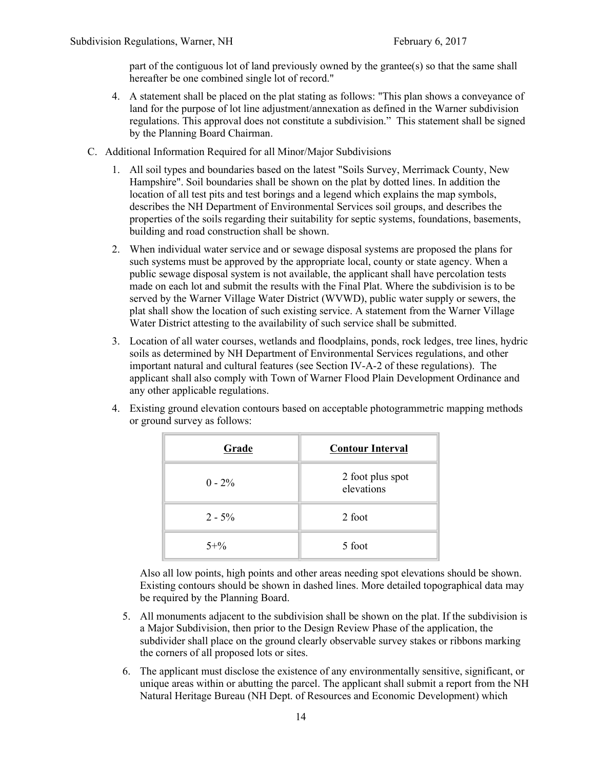part of the contiguous lot of land previously owned by the grantee(s) so that the same shall hereafter be one combined single lot of record."

- 4. A statement shall be placed on the plat stating as follows: "This plan shows a conveyance of land for the purpose of lot line adjustment/annexation as defined in the Warner subdivision regulations. This approval does not constitute a subdivision." This statement shall be signed by the Planning Board Chairman.
- C. Additional Information Required for all Minor/Major Subdivisions
	- 1. All soil types and boundaries based on the latest "Soils Survey, Merrimack County, New Hampshire". Soil boundaries shall be shown on the plat by dotted lines. In addition the location of all test pits and test borings and a legend which explains the map symbols, describes the NH Department of Environmental Services soil groups, and describes the properties of the soils regarding their suitability for septic systems, foundations, basements, building and road construction shall be shown.
	- 2. When individual water service and or sewage disposal systems are proposed the plans for such systems must be approved by the appropriate local, county or state agency. When a public sewage disposal system is not available, the applicant shall have percolation tests made on each lot and submit the results with the Final Plat. Where the subdivision is to be served by the Warner Village Water District (WVWD), public water supply or sewers, the plat shall show the location of such existing service. A statement from the Warner Village Water District attesting to the availability of such service shall be submitted.
	- 3. Location of all water courses, wetlands and floodplains, ponds, rock ledges, tree lines, hydric soils as determined by NH Department of Environmental Services regulations, and other important natural and cultural features (see Section IV-A-2 of these regulations). The applicant shall also comply with Town of Warner Flood Plain Development Ordinance and any other applicable regulations.
	- 4. Existing ground elevation contours based on acceptable photogrammetric mapping methods or ground survey as follows:

| Grade     | <b>Contour Interval</b>        |
|-----------|--------------------------------|
| $0 - 2\%$ | 2 foot plus spot<br>elevations |
| $2 - 5\%$ | 2 foot                         |
| $5 + \%$  | 5 foot                         |

Also all low points, high points and other areas needing spot elevations should be shown. Existing contours should be shown in dashed lines. More detailed topographical data may be required by the Planning Board.

- 5. All monuments adjacent to the subdivision shall be shown on the plat. If the subdivision is a Major Subdivision, then prior to the Design Review Phase of the application, the subdivider shall place on the ground clearly observable survey stakes or ribbons marking the corners of all proposed lots or sites.
- 6. The applicant must disclose the existence of any environmentally sensitive, significant, or unique areas within or abutting the parcel. The applicant shall submit a report from the NH Natural Heritage Bureau (NH Dept. of Resources and Economic Development) which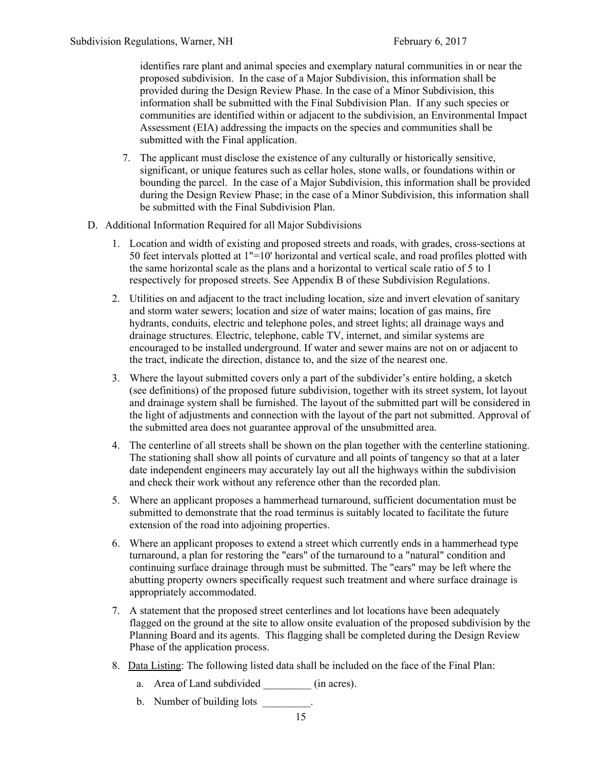identifies rare plant and animal species and exemplary natural communities in or near the proposed subdivision. In the case of a Major Subdivision, this information shall be provided during the Design Review Phase. In the case of a Minor Subdivision, this information shall be submitted with the Final Subdivision Plan. If any such species or communities are identified within or adjacent to the subdivision, an Environmental Impact Assessment (EIA) addressing the impacts on the species and communities shall be submitted with the Final application.

- 7. The applicant must disclose the existence of any culturally or historically sensitive, significant, or unique features such as cellar holes, stone walls, or foundations within or bounding the parcel. In the case of a Major Subdivision, this information shall be provided during the Design Review Phase; in the case of a Minor Subdivision, this information shall be submitted with the Final Subdivision Plan.
- D. Additional Information Required for all Major Subdivisions
	- 1. Location and width of existing and proposed streets and roads, with grades, cross-sections at 50 feet intervals plotted at 1"=10' horizontal and vertical scale, and road profiles plotted with the same horizontal scale as the plans and a horizontal to vertical scale ratio of 5 to 1 respectively for proposed streets. See Appendix B of these Subdivision Regulations.
	- 2. Utilities on and adjacent to the tract including location, size and invert elevation of sanitary and storm water sewers; location and size of water mains; location of gas mains, fire hydrants, conduits, electric and telephone poles, and street lights; all drainage ways and drainage structures. Electric, telephone, cable TV, internet, and similar systems are encouraged to be installed underground. If water and sewer mains are not on or adjacent to the tract, indicate the direction, distance to, and the size of the nearest one.
	- 3. Where the layout submitted covers only a part of the subdivider's entire holding, a sketch (see definitions) of the proposed future subdivision, together with its street system, lot layout and drainage system shall be furnished. The layout of the submitted part will be considered in the light of adjustments and connection with the layout of the part not submitted. Approval of the submitted area does not guarantee approval of the unsubmitted area.
	- 4. The centerline of all streets shall be shown on the plan together with the centerline stationing. The stationing shall show all points of curvature and all points of tangency so that at a later date independent engineers may accurately lay out all the highways within the subdivision and check their work without any reference other than the recorded plan.
	- 5. Where an applicant proposes a hammerhead turnaround, sufficient documentation must be submitted to demonstrate that the road terminus is suitably located to facilitate the future extension of the road into adjoining properties.
	- 6. Where an applicant proposes to extend a street which currently ends in a hammerhead type turnaround, a plan for restoring the "ears" of the turnaround to a "natural" condition and continuing surface drainage through must be submitted. The "ears" may be left where the abutting property owners specifically request such treatment and where surface drainage is appropriately accommodated.
	- 7. A statement that the proposed street centerlines and lot locations have been adequately flagged on the ground at the site to allow onsite evaluation of the proposed subdivision by the Planning Board and its agents. This flagging shall be completed during the Design Review Phase of the application process.
	- 8. Data Listing: The following listed data shall be included on the face of the Final Plan:
		- a. Area of Land subdivided (in acres).
		- b. Number of building lots \_\_\_\_\_\_\_\_\_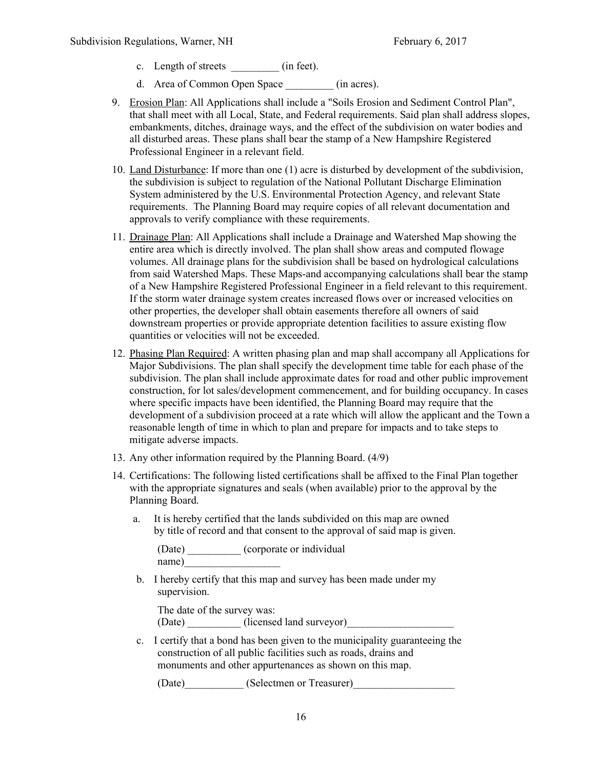- c. Length of streets (in feet).
- d. Area of Common Open Space \_\_\_\_\_\_\_\_\_ (in acres).
- 9. Erosion Plan: All Applications shall include a "Soils Erosion and Sediment Control Plan", that shall meet with all Local, State, and Federal requirements. Said plan shall address slopes, embankments, ditches, drainage ways, and the effect of the subdivision on water bodies and all disturbed areas. These plans shall bear the stamp of a New Hampshire Registered Professional Engineer in a relevant field.
- 10. Land Disturbance : If more than one (1) acre is disturbed by development of the subdivision, the subdivision is subject to regulation of the National Pollutant Discharge Elimination System administered by the U.S. Environmental Protection Agency, and relevant State requirements. The Planning Board may require copies of all relevant documentation and approvals to verify compliance with these requirements.
- 11. Drainage Plan: All Applications shall include a Drainage and Watershed Map showing the entire area which is directly involved. The plan shall show areas and computed flowage volumes. All drainage plans for the subdivision shall be based on hydrological calculations from said Watershed Maps. These Maps-and accompanying calculations shall bear the stamp of a New Hampshire Registered Professional Engineer in a field relevant to this requirement. If the storm water drainage system creates increased flows over or increased velocities on other properties, the developer shall obtain easements therefore all owners of said downstream properties or provide appropriate detention facilities to assure existing flow quantities or velocities will not be exceeded.
- 12. Phasing Plan Required: A written phasing plan and map shall accompany all Applications for Major Subdivisions. The plan shall specify the development time table for each phase of the subdivision. The plan shall include approximate dates for road and other public improvement construction, for lot sales/development commencement, and for building occupancy. In cases where specific impacts have been identified, the Planning Board may require that the development of a subdivision proceed at a rate which will allow the applicant and the Town a reasonable length of time in which to plan and prepare for impacts and to take steps to mitigate adverse impacts.
- 13. Any other information required by the Planning Board. (4/9)
- 14. Certifications: The following listed certifications shall be affixed to the Final Plan together with the appropriate signatures and seals (when available) prior to the approval by the Planning Board.
	- a. It is hereby certified that the lands subdivided on this map are owned by title of record and that consent to the approval of said map is given.

(Date) \_\_\_\_\_\_\_\_\_\_ (corporate or individual name)

b. I hereby certify that this map and survey has been made under my supervision.

The date of the survey was: (Date) \_\_\_\_\_\_\_\_\_\_ (licensed land surveyor)\_\_\_\_\_\_\_\_\_\_\_\_\_\_\_\_\_\_\_\_

c. I certify that a bond has been given to the municipality guaranteeing the construction of all public facilities such as roads, drains and monuments and other appurtenances as shown on this map.

(Date) (Selectmen or Treasurer)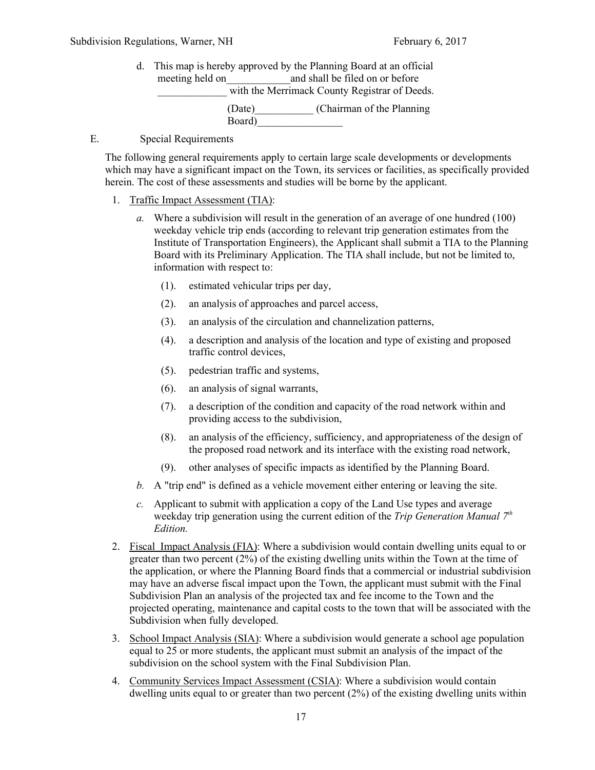|                 |        | d. This map is hereby approved by the Planning Board at an official |
|-----------------|--------|---------------------------------------------------------------------|
| meeting held on |        | and shall be filed on or before                                     |
|                 |        | with the Merrimack County Registrar of Deeds.                       |
|                 | (Date) | (Chairman of the Planning)                                          |
|                 | Board) |                                                                     |

#### E. Special Requirements

The following general requirements apply to certain large scale developments or developments which may have a significant impact on the Town, its services or facilities, as specifically provided herein. The cost of these assessments and studies will be borne by the applicant.

#### 1. Traffic Impact Assessment (TIA) :

- *a.* Where a subdivision will result in the generation of an average of one hundred (100) weekday vehicle trip ends (according to relevant trip generation estimates from the Institute of Transportation Engineers), the Applicant shall submit a TIA to the Planning Board with its Preliminary Application. The TIA shall include, but not be limited to, information with respect to:
	- (1). estimated vehicular trips per day,
	- (2). an analysis of approaches and parcel access,
	- (3). an analysis of the circulation and channelization patterns,
	- (4). a description and analysis of the location and type of existing and proposed traffic control devices,
	- (5). pedestrian traffic and systems,
	- (6). an analysis of signal warrants,
	- (7). a description of the condition and capacity of the road network within and providing access to the subdivision,
	- (8). an analysis of the efficiency, sufficiency, and appropriateness of the design of the proposed road network and its interface with the existing road network,
	- (9). other analyses of specific impacts as identified by the Planning Board.
- *b.* A "trip end" is defined as a vehicle movement either entering or leaving the site.
- *c.* Applicant to submit with application a copy of the Land Use types and average weekday trip generation using the current edition of the *Trip Generation Manual 7th Edition.*
- 2. Fiscal Impact Analysis (FIA) : Where a subdivision would contain dwelling units equal to or greater than two percent (2%) of the existing dwelling units within the Town at the time of the application, or where the Planning Board finds that a commercial or industrial subdivision may have an adverse fiscal impact upon the Town, the applicant must submit with the Final Subdivision Plan an analysis of the projected tax and fee income to the Town and the projected operating, maintenance and capital costs to the town that will be associated with the Subdivision when fully developed.
- 3. School Impact Analysis (SIA) : Where a subdivision would generate a school age population equal to 25 or more students, the applicant must submit an analysis of the impact of the subdivision on the school system with the Final Subdivision Plan.
- 4. Community Services Impact Assessment (CSIA): Where a subdivision would contain dwelling units equal to or greater than two percent (2%) of the existing dwelling units within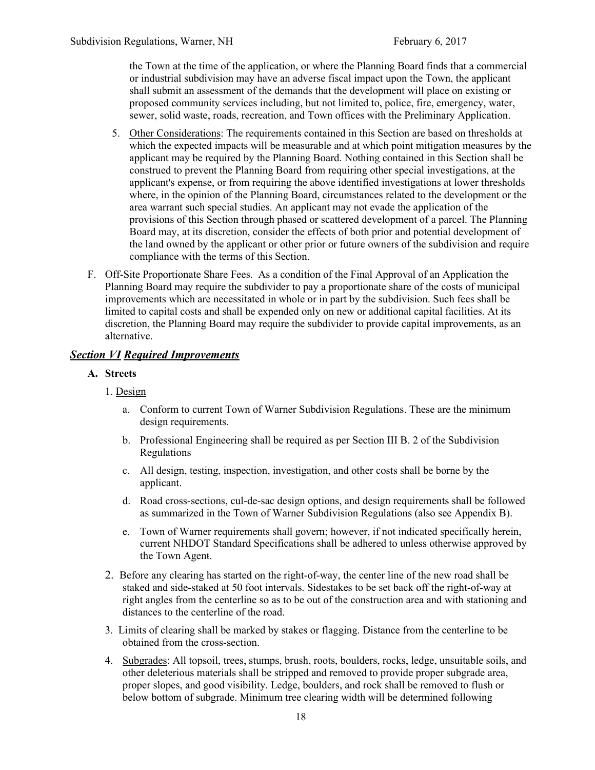the Town at the time of the application, or where the Planning Board finds that a commercial or industrial subdivision may have an adverse fiscal impact upon the Town, the applicant shall submit an assessment of the demands that the development will place on existing or proposed community services including, but not limited to, police, fire, emergency, water, sewer, solid waste, roads, recreation, and Town offices with the Preliminary Application.

- 5. Other Considerations: The requirements contained in this Section are based on thresholds at which the expected impacts will be measurable and at which point mitigation measures by the applicant may be required by the Planning Board. Nothing contained in this Section shall be construed to prevent the Planning Board from requiring other special investigations, at the applicant's expense, or from requiring the above identified investigations at lower thresholds where, in the opinion of the Planning Board, circumstances related to the development or the area warrant such special studies. An applicant may not evade the application of the provisions of this Section through phased or scattered development of a parcel. The Planning Board may, at its discretion, consider the effects of both prior and potential development of the land owned by the applicant or other prior or future owners of the subdivision and require compliance with the terms of this Section.
- F. Off-Site Proportionate Share Fees. As a condition of the Final Approval of an Application the Planning Board may require the subdivider to pay a proportionate share of the costs of municipal improvements which are necessitated in whole or in part by the subdivision. Such fees shall be limited to capital costs and shall be expended only on new or additional capital facilities. At its discretion, the Planning Board may require the subdivider to provide capital improvements, as an alternative.

### *Section VI Required Improvements*

#### **A. Streets**

- 1. Design
	- a. Conform to current Town of Warner Subdivision Regulations. These are the minimum design requirements.
	- b. Professional Engineering shall be required as per Section III B. 2 of the Subdivision Regulations
	- c. All design, testing, inspection, investigation, and other costs shall be borne by the applicant.
	- d. Road cross-sections, cul-de-sac design options, and design requirements shall be followed as summarized in the Town of Warner Subdivision Regulations (also see Appendix B).
	- e. Town of Warner requirements shall govern; however, if not indicated specifically herein, current NHDOT Standard Specifications shall be adhered to unless otherwise approved by the Town Agent.
- 2. Before any clearing has started on the right-of-way, the center line of the new road shall be staked and side-staked at 50 foot intervals. Sidestakes to be set back off the right-of-way at right angles from the centerline so as to be out of the construction area and with stationing and distances to the centerline of the road.
- 3. Limits of clearing shall be marked by stakes or flagging. Distance from the centerline to be obtained from the cross-section.
- 4. Subgrades: All topsoil, trees, stumps, brush, roots, boulders, rocks, ledge, unsuitable soils, and other deleterious materials shall be stripped and removed to provide proper subgrade area, proper slopes, and good visibility. Ledge, boulders, and rock shall be removed to flush or below bottom of subgrade. Minimum tree clearing width will be determined following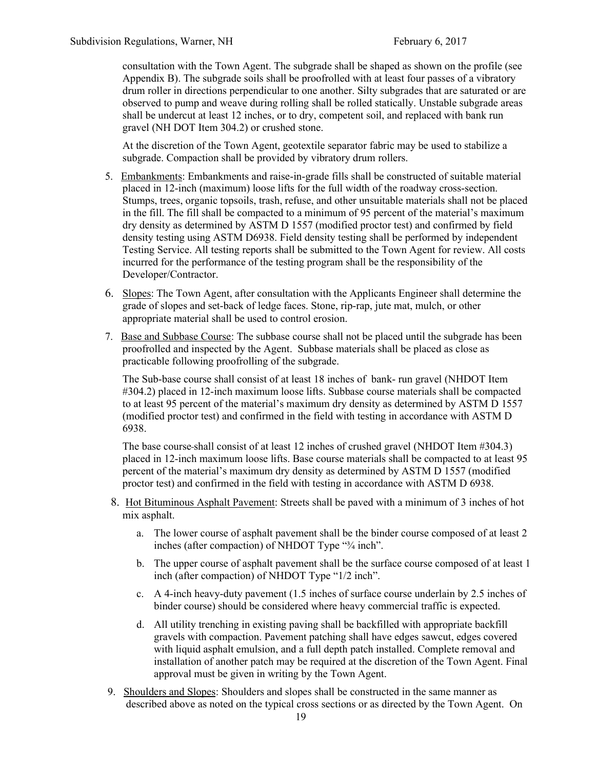consultation with the Town Agent. The subgrade shall be shaped as shown on the profile (see Appendix B). The subgrade soils shall be proofrolled with at least four passes of a vibratory drum roller in directions perpendicular to one another. Silty subgrades that are saturated or are observed to pump and weave during rolling shall be rolled statically. Unstable subgrade areas shall be undercut at least 12 inches, or to dry, competent soil, and replaced with bank run gravel (NH DOT Item 304.2) or crushed stone.

At the discretion of the Town Agent, geotextile separator fabric may be used to stabilize a subgrade. Compaction shall be provided by vibratory drum rollers.

- 5. Embankments: Embankments and raise-in-grade fills shall be constructed of suitable material placed in 12-inch (maximum) loose lifts for the full width of the roadway cross-section. Stumps, trees, organic topsoils, trash, refuse, and other unsuitable materials shall not be placed in the fill. The fill shall be compacted to a minimum of 95 percent of the material's maximum dry density as determined by ASTM D 1557 (modified proctor test) and confirmed by field density testing using ASTM D6938. Field density testing shall be performed by independent Testing Service. All testing reports shall be submitted to the Town Agent for review. All costs incurred for the performance of the testing program shall be the responsibility of the Developer/Contractor.
- 6. Slopes: The Town Agent, after consultation with the Applicants Engineer shall determine the grade of slopes and set-back of ledge faces. Stone, rip-rap, jute mat, mulch, or other appropriate material shall be used to control erosion.
- 7. Base and Subbase Course: The subbase course shall not be placed until the subgrade has been proofrolled and inspected by the Agent. Subbase materials shall be placed as close as practicable following proofrolling of the subgrade.

The Sub-base course shall consist of at least 18 inches of bank- run gravel (NHDOT Item #304.2) placed in 12-inch maximum loose lifts. Subbase course materials shall be compacted to at least 95 percent of the material's maximum dry density as determined by ASTM D 1557 (modified proctor test) and confirmed in the field with testing in accordance with ASTM D 6938.

The base course shall consist of at least 12 inches of crushed gravel (NHDOT Item #304.3) placed in 12-inch maximum loose lifts. Base course materials shall be compacted to at least 95 percent of the material's maximum dry density as determined by ASTM D 1557 (modified proctor test) and confirmed in the field with testing in accordance with ASTM D 6938.

- 8. Hot Bituminous Asphalt Pavement: Streets shall be paved with a minimum of 3 inches of hot mix asphalt.
	- a. The lower course of asphalt pavement shall be the binder course composed of at least 2 inches (after compaction) of NHDOT Type "¾ inch".
	- b. The upper course of asphalt pavement shall be the surface course composed of at least 1 inch (after compaction) of NHDOT Type "1/2 inch".
	- c. A 4-inch heavy-duty pavement (1.5 inches of surface course underlain by 2.5 inches of binder course) should be considered where heavy commercial traffic is expected.
	- d. All utility trenching in existing paving shall be backfilled with appropriate backfill gravels with compaction. Pavement patching shall have edges sawcut, edges covered with liquid asphalt emulsion, and a full depth patch installed. Complete removal and installation of another patch may be required at the discretion of the Town Agent. Final approval must be given in writing by the Town Agent.
- 9. Shoulders and Slopes: Shoulders and slopes shall be constructed in the same manner as described above as noted on the typical cross sections or as directed by the Town Agent. On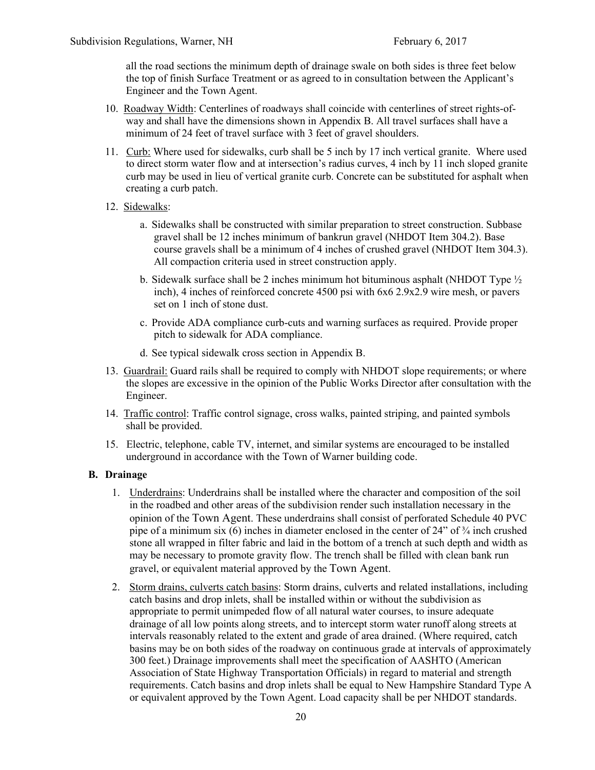all the road sections the minimum depth of drainage swale on both sides is three feet below the top of finish Surface Treatment or as agreed to in consultation between the Applicant's Engineer and the Town Agent.

- 10. Roadway Width: Centerlines of roadways shall coincide with centerlines of street rights-ofway and shall have the dimensions shown in Appendix B. All travel surfaces shall have a minimum of 24 feet of travel surface with 3 feet of gravel shoulders.
- 11. Curb: Where used for sidewalks, curb shall be 5 inch by 17 inch vertical granite. Where used to direct storm water flow and at intersection's radius curves, 4 inch by 11 inch sloped granite curb may be used in lieu of vertical granite curb. Concrete can be substituted for asphalt when creating a curb patch.
- 12. Sidewalks:
	- a. Sidewalks shall be constructed with similar preparation to street construction. Subbase gravel shall be 12 inches minimum of bankrun gravel (NHDOT Item 304.2). Base course gravels shall be a minimum of 4 inches of crushed gravel (NHDOT Item 304.3). All compaction criteria used in street construction apply.
	- b. Sidewalk surface shall be 2 inches minimum hot bituminous asphalt (NHDOT Type  $\frac{1}{2}$ ) inch), 4 inches of reinforced concrete 4500 psi with 6x6 2.9x2.9 wire mesh, or pavers set on 1 inch of stone dust.
	- c. Provide ADA compliance curb-cuts and warning surfaces as required. Provide proper pitch to sidewalk for ADA compliance.
	- d. See typical sidewalk cross section in Appendix B.
- 13. Guardrail: Guard rails shall be required to comply with NHDOT slope requirements; or where the slopes are excessive in the opinion of the Public Works Director after consultation with the Engineer.
- 14. Traffic control: Traffic control signage, cross walks, painted striping, and painted symbols shall be provided.
- 15. Electric, telephone, cable TV, internet, and similar systems are encouraged to be installed underground in accordance with the Town of Warner building code.

#### **B. Drainage**

- 1. Underdrains : Underdrains shall be installed where the character and composition of the soil in the roadbed and other areas of the subdivision render such installation necessary in the opinion of the Town Agent. These underdrains shall consist of perforated Schedule 40 PVC pipe of a minimum six (6) inches in diameter enclosed in the center of 24" of  $\frac{3}{4}$  inch crushed stone all wrapped in filter fabric and laid in the bottom of a trench at such depth and width as may be necessary to promote gravity flow. The trench shall be filled with clean bank run gravel, or equivalent material approved by the Town Agent.
- 2. Storm drains, culverts catch basins: Storm drains, culverts and related installations, including catch basins and drop inlets, shall be installed within or without the subdivision as appropriate to permit unimpeded flow of all natural water courses, to insure adequate drainage of all low points along streets, and to intercept storm water runoff along streets at intervals reasonably related to the extent and grade of area drained. (Where required, catch basins may be on both sides of the roadway on continuous grade at intervals of approximately 300 feet.) Drainage improvements shall meet the specification of AASHTO (American Association of State Highway Transportation Officials) in regard to material and strength requirements. Catch basins and drop inlets shall be equal to New Hampshire Standard Type A or equivalent approved by the Town Agent. Load capacity shall be per NHDOT standards.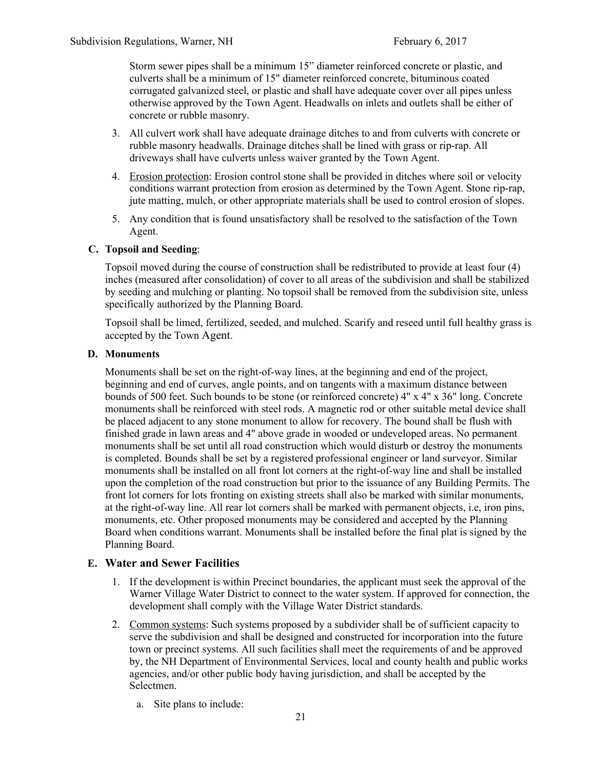Storm sewer pipes shall be a minimum 15" diameter reinforced concrete or plastic, and culverts shall be a minimum of 15" diameter reinforced concrete, bituminous coated corrugated galvanized steel, or plastic and shall have adequate cover over all pipes unless otherwise approved by the Town Agent. Headwalls on inlets and outlets shall be either of concrete or rubble masonry.

- 3. All culvert work shall have adequate drainage ditches to and from culverts with concrete or rubble masonry headwalls. Drainage ditches shall be lined with grass or rip-rap. All driveways shall have culverts unless waiver granted by the Town Agent.
- 4. Erosion protection: Erosion control stone shall be provided in ditches where soil or velocity conditions warrant protection from erosion as determined by the Town Agent. Stone rip-rap, jute matting, mulch, or other appropriate materials shall be used to control erosion of slopes.
- 5. Any condition that is found unsatisfactory shall be resolved to the satisfaction of the Town Agent.

#### **C. Topsoil and Seeding**:

Topsoil moved during the course of construction shall be redistributed to provide at least four (4) inches (measured after consolidation) of cover to all areas of the subdivision and shall be stabilized by seeding and mulching or planting. No topsoil shall be removed from the subdivision site, unless specifically authorized by the Planning Board.

Topsoil shall be limed, fertilized, seeded, and mulched. Scarify and reseed until full healthy grass is accepted by the Town Agent.

#### **D. Monuments**

Monuments shall be set on the right-of-way lines, at the beginning and end of the project, beginning and end of curves, angle points, and on tangents with a maximum distance between bounds of 500 feet. Such bounds to be stone (or reinforced concrete) 4" x 4" x 36" long. Concrete monuments shall be reinforced with steel rods. A magnetic rod or other suitable metal device shall be placed adjacent to any stone monument to allow for recovery. The bound shall be flush with finished grade in lawn areas and 4" above grade in wooded or undeveloped areas. No permanent monuments shall be set until all road construction which would disturb or destroy the monuments is completed. Bounds shall be set by a registered professional engineer or land surveyor. Similar monuments shall be installed on all front lot corners at the right-of-way line and shall be installed upon the completion of the road construction but prior to the issuance of any Building Permits. The front lot corners for lots fronting on existing streets shall also be marked with similar monuments, at the right-of-way line. All rear lot corners shall be marked with permanent objects, i.e, iron pins, monuments, etc. Other proposed monuments may be considered and accepted by the Planning Board when conditions warrant. Monuments shall be installed before the final plat is signed by the Planning Board.

#### **E. Water and Sewer Facilities**

- 1. If the development is within Precinct boundaries, the applicant must seek the approval of the Warner Village Water District to connect to the water system. If approved for connection, the development shall comply with the Village Water District standards.
- 2. Common systems: Such systems proposed by a subdivider shall be of sufficient capacity to serve the subdivision and shall be designed and constructed for incorporation into the future town or precinct systems. All such facilities shall meet the requirements of and be approved by, the NH Department of Environmental Services, local and county health and public works agencies, and/or other public body having jurisdiction, and shall be accepted by the Selectmen.
	- a. Site plans to include: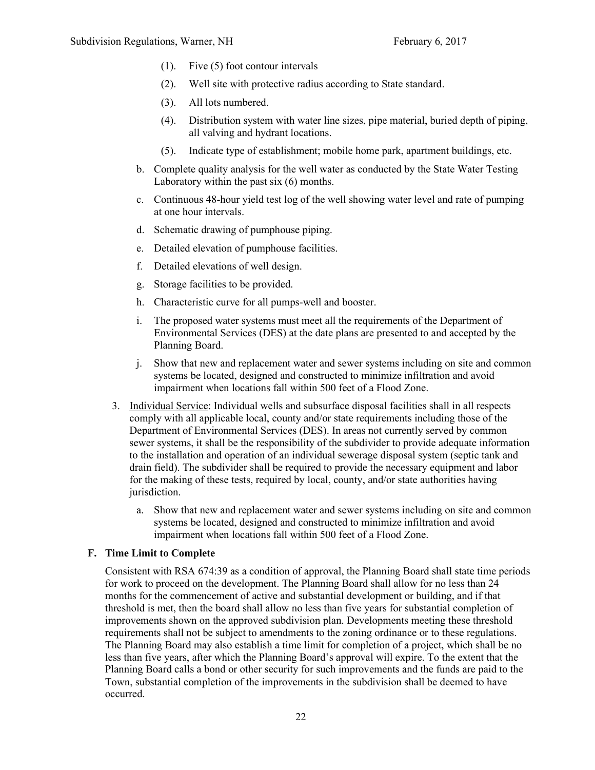- (1). Five (5) foot contour intervals
- (2). Well site with protective radius according to State standard.
- (3). All lots numbered.
- (4). Distribution system with water line sizes, pipe material, buried depth of piping, all valving and hydrant locations.
- (5). Indicate type of establishment; mobile home park, apartment buildings, etc.
- b. Complete quality analysis for the well water as conducted by the State Water Testing Laboratory within the past six (6) months.
- c. Continuous 48-hour yield test log of the well showing water level and rate of pumping at one hour intervals.
- d. Schematic drawing of pumphouse piping.
- e. Detailed elevation of pumphouse facilities.
- f. Detailed elevations of well design.
- g. Storage facilities to be provided.
- h. Characteristic curve for all pumps-well and booster.
- i. The proposed water systems must meet all the requirements of the Department of Environmental Services (DES) at the date plans are presented to and accepted by the Planning Board.
- j. Show that new and replacement water and sewer systems including on site and common systems be located, designed and constructed to minimize infiltration and avoid impairment when locations fall within 500 feet of a Flood Zone.
- 3. Individual Service : Individual wells and subsurface disposal facilities shall in all respects comply with all applicable local, county and/or state requirements including those of the Department of Environmental Services (DES). In areas not currently served by common sewer systems, it shall be the responsibility of the subdivider to provide adequate information to the installation and operation of an individual sewerage disposal system (septic tank and drain field). The subdivider shall be required to provide the necessary equipment and labor for the making of these tests, required by local, county, and/or state authorities having jurisdiction.
	- a. Show that new and replacement water and sewer systems including on site and common systems be located, designed and constructed to minimize infiltration and avoid impairment when locations fall within 500 feet of a Flood Zone.

#### **F. Time Limit to Complete**

Consistent with RSA 674:39 as a condition of approval, the Planning Board shall state time periods for work to proceed on the development. The Planning Board shall allow for no less than 24 months for the commencement of active and substantial development or building, and if that threshold is met, then the board shall allow no less than five years for substantial completion of improvements shown on the approved subdivision plan. Developments meeting these threshold requirements shall not be subject to amendments to the zoning ordinance or to these regulations. The Planning Board may also establish a time limit for completion of a project, which shall be no less than five years, after which the Planning Board's approval will expire. To the extent that the Planning Board calls a bond or other security for such improvements and the funds are paid to the Town, substantial completion of the improvements in the subdivision shall be deemed to have occurred.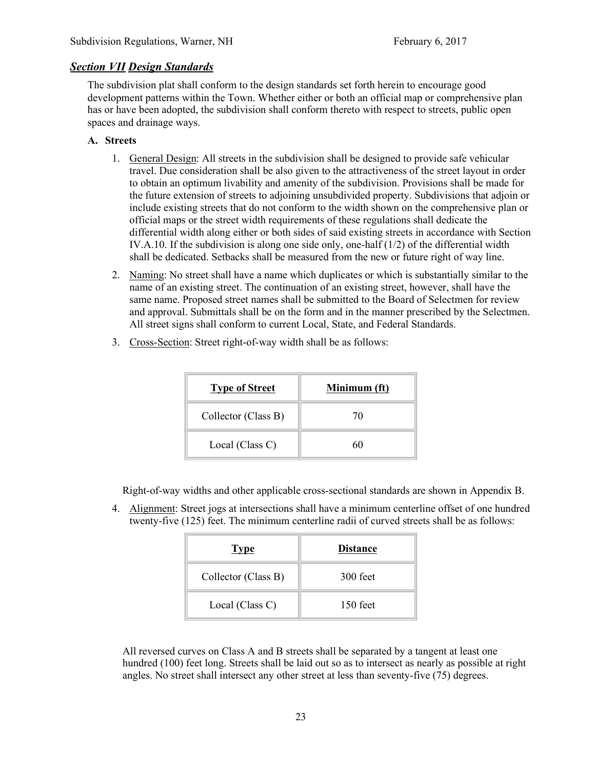#### *Section VII Design Standards*

The subdivision plat shall conform to the design standards set forth herein to encourage good development patterns within the Town. Whether either or both an official map or comprehensive plan has or have been adopted, the subdivision shall conform thereto with respect to streets, public open spaces and drainage ways.

#### **A. Streets**

- 1. General Design: All streets in the subdivision shall be designed to provide safe vehicular travel. Due consideration shall be also given to the attractiveness of the street layout in order to obtain an optimum livability and amenity of the subdivision. Provisions shall be made for the future extension of streets to adjoining unsubdivided property. Subdivisions that adjoin or include existing streets that do not conform to the width shown on the comprehensive plan or official maps or the street width requirements of these regulations shall dedicate the differential width along either or both sides of said existing streets in accordance with Section IV.A.10. If the subdivision is along one side only, one-half (1/2) of the differential width shall be dedicated. Setbacks shall be measured from the new or future right of way line.
- 2. Naming: No street shall have a name which duplicates or which is substantially similar to the name of an existing street. The continuation of an existing street, however, shall have the same name. Proposed street names shall be submitted to the Board of Selectmen for review and approval. Submittals shall be on the form and in the manner prescribed by the Selectmen. All street signs shall conform to current Local, State, and Federal Standards.
- 3. Cross-Section: Street right-of-way width shall be as follows:

| <b>Type of Street</b> | Minimum (ft) |
|-----------------------|--------------|
| Collector (Class B)   | 70           |
| Local (Class C)       | 60           |

Right-of-way widths and other applicable cross-sectional standards are shown in Appendix B.

4. Alignment: Street jogs at intersections shall have a minimum centerline offset of one hundred twenty-five (125) feet. The minimum centerline radii of curved streets shall be as follows:

| <b>Type</b>         | <b>Distance</b> |
|---------------------|-----------------|
| Collector (Class B) | $300$ feet      |
| Local (Class C)     | $150$ feet      |

All reversed curves on Class A and B streets shall be separated by a tangent at least one hundred (100) feet long. Streets shall be laid out so as to intersect as nearly as possible at right angles. No street shall intersect any other street at less than seventy-five (75) degrees.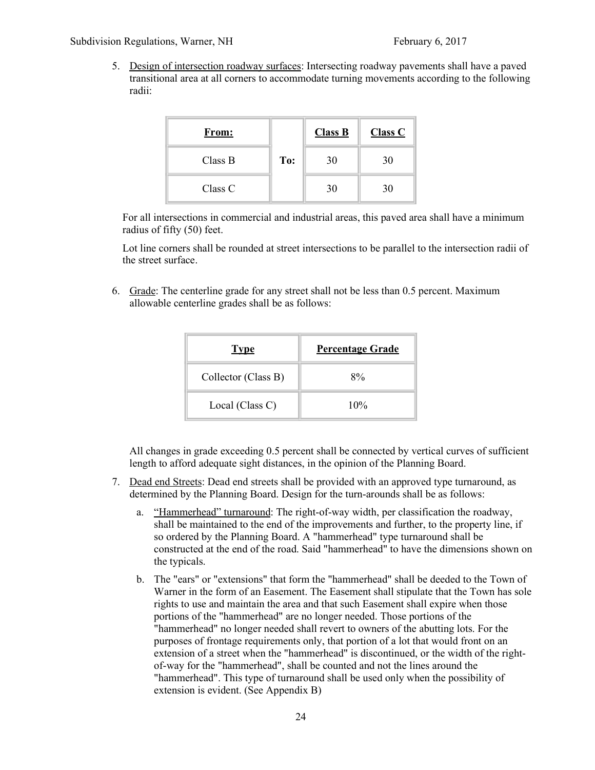5. Design of intersection roadway surfaces : Intersecting roadway pavements shall have a paved transitional area at all corners to accommodate turning movements according to the following radii:

| From:   |     | <b>Class B</b> | <b>Class C</b> |
|---------|-----|----------------|----------------|
| Class B | To: | 30             | 30             |
| Class C |     | 30             | 30             |

For all intersections in commercial and industrial areas, this paved area shall have a minimum radius of fifty (50) feet.

Lot line corners shall be rounded at street intersections to be parallel to the intersection radii of the street surface.

6. Grade: The centerline grade for any street shall not be less than 0.5 percent. Maximum allowable centerline grades shall be as follows:

| <b>Type</b>         | <b>Percentage Grade</b> |
|---------------------|-------------------------|
| Collector (Class B) | 8%                      |
| Local (Class C)     | 10%                     |

All changes in grade exceeding 0.5 percent shall be connected by vertical curves of sufficient length to afford adequate sight distances, in the opinion of the Planning Board.

- 7. Dead end Streets: Dead end streets shall be provided with an approved type turnaround, as determined by the Planning Board. Design for the turn-arounds shall be as follows:
	- a. "Hammerhead" turnaround: The right-of-way width, per classification the roadway, shall be maintained to the end of the improvements and further, to the property line, if so ordered by the Planning Board. A "hammerhead" type turnaround shall be constructed at the end of the road. Said "hammerhead" to have the dimensions shown on the typicals.
	- b. The "ears" or "extensions" that form the "hammerhead" shall be deeded to the Town of Warner in the form of an Easement. The Easement shall stipulate that the Town has sole rights to use and maintain the area and that such Easement shall expire when those portions of the "hammerhead" are no longer needed. Those portions of the "hammerhead" no longer needed shall revert to owners of the abutting lots. For the purposes of frontage requirements only, that portion of a lot that would front on an extension of a street when the "hammerhead" is discontinued, or the width of the rightof-way for the "hammerhead", shall be counted and not the lines around the "hammerhead". This type of turnaround shall be used only when the possibility of extension is evident. (See Appendix B)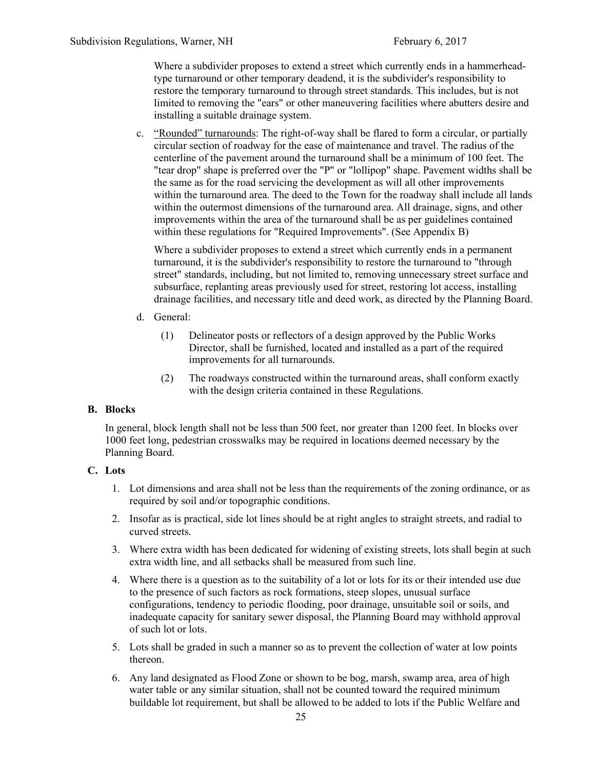Where a subdivider proposes to extend a street which currently ends in a hammerheadtype turnaround or other temporary deadend, it is the subdivider's responsibility to restore the temporary turnaround to through street standards. This includes, but is not limited to removing the "ears" or other maneuvering facilities where abutters desire and installing a suitable drainage system.

c. "Rounded" turnarounds: The right-of-way shall be flared to form a circular, or partially circular section of roadway for the ease of maintenance and travel. The radius of the centerline of the pavement around the turnaround shall be a minimum of 100 feet. The "tear drop" shape is preferred over the "P" or "lollipop" shape. Pavement widths shall be the same as for the road servicing the development as will all other improvements within the turnaround area. The deed to the Town for the roadway shall include all lands within the outermost dimensions of the turnaround area. All drainage, signs, and other improvements within the area of the turnaround shall be as per guidelines contained within these regulations for "Required Improvements". (See Appendix B)

Where a subdivider proposes to extend a street which currently ends in a permanent turnaround, it is the subdivider's responsibility to restore the turnaround to "through street" standards, including, but not limited to, removing unnecessary street surface and subsurface, replanting areas previously used for street, restoring lot access, installing drainage facilities, and necessary title and deed work, as directed by the Planning Board.

- d. General:
	- (1) Delineator posts or reflectors of a design approved by the Public Works Director, shall be furnished, located and installed as a part of the required improvements for all turnarounds.
	- (2) The roadways constructed within the turnaround areas, shall conform exactly with the design criteria contained in these Regulations.

#### **B. Blocks**

In general, block length shall not be less than 500 feet, nor greater than 1200 feet. In blocks over 1000 feet long, pedestrian crosswalks may be required in locations deemed necessary by the Planning Board.

#### **C. Lots**

- 1. Lot dimensions and area shall not be less than the requirements of the zoning ordinance, or as required by soil and/or topographic conditions.
- 2. Insofar as is practical, side lot lines should be at right angles to straight streets, and radial to curved streets.
- 3. Where extra width has been dedicated for widening of existing streets, lots shall begin at such extra width line, and all setbacks shall be measured from such line.
- 4. Where there is a question as to the suitability of a lot or lots for its or their intended use due to the presence of such factors as rock formations, steep slopes, unusual surface configurations, tendency to periodic flooding, poor drainage, unsuitable soil or soils, and inadequate capacity for sanitary sewer disposal, the Planning Board may withhold approval of such lot or lots.
- 5. Lots shall be graded in such a manner so as to prevent the collection of water at low points thereon.
- 6. Any land designated as Flood Zone or shown to be bog, marsh, swamp area, area of high water table or any similar situation, shall not be counted toward the required minimum buildable lot requirement, but shall be allowed to be added to lots if the Public Welfare and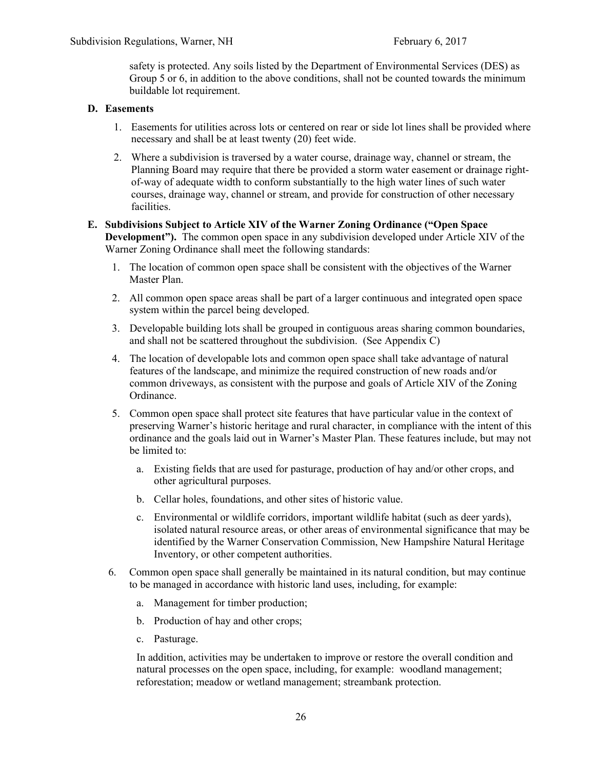safety is protected. Any soils listed by the Department of Environmental Services (DES) as Group 5 or 6, in addition to the above conditions, shall not be counted towards the minimum buildable lot requirement.

#### **D. Easements**

- 1. Easements for utilities across lots or centered on rear or side lot lines shall be provided where necessary and shall be at least twenty (20) feet wide.
- 2. Where a subdivision is traversed by a water course, drainage way, channel or stream, the Planning Board may require that there be provided a storm water easement or drainage rightof-way of adequate width to conform substantially to the high water lines of such water courses, drainage way, channel or stream, and provide for construction of other necessary facilities.
- **E. Subdivisions Subject to Article XIV of the Warner Zoning Ordinance ("Open Space Development").** The common open space in any subdivision developed under Article XIV of the Warner Zoning Ordinance shall meet the following standards:
	- 1. The location of common open space shall be consistent with the objectives of the Warner Master Plan.
	- 2. All common open space areas shall be part of a larger continuous and integrated open space system within the parcel being developed.
	- 3. Developable building lots shall be grouped in contiguous areas sharing common boundaries, and shall not be scattered throughout the subdivision. (See Appendix C)
	- 4. The location of developable lots and common open space shall take advantage of natural features of the landscape, and minimize the required construction of new roads and/or common driveways, as consistent with the purpose and goals of Article XIV of the Zoning Ordinance.
	- 5. Common open space shall protect site features that have particular value in the context of preserving Warner's historic heritage and rural character, in compliance with the intent of this ordinance and the goals laid out in Warner's Master Plan. These features include, but may not be limited to:
		- a. Existing fields that are used for pasturage, production of hay and/or other crops, and other agricultural purposes.
		- b. Cellar holes, foundations, and other sites of historic value.
		- c. Environmental or wildlife corridors, important wildlife habitat (such as deer yards), isolated natural resource areas, or other areas of environmental significance that may be identified by the Warner Conservation Commission, New Hampshire Natural Heritage Inventory, or other competent authorities.
	- 6. Common open space shall generally be maintained in its natural condition, but may continue to be managed in accordance with historic land uses, including, for example:
		- a. Management for timber production;
		- b. Production of hay and other crops;
		- c. Pasturage.

In addition, activities may be undertaken to improve or restore the overall condition and natural processes on the open space, including, for example: woodland management; reforestation; meadow or wetland management; streambank protection.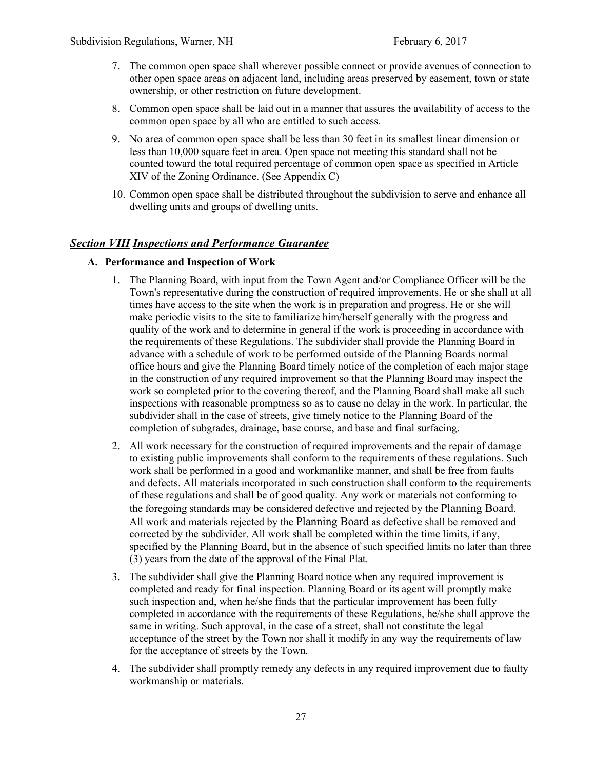- 7. The common open space shall wherever possible connect or provide avenues of connection to other open space areas on adjacent land, including areas preserved by easement, town or state ownership, or other restriction on future development.
- 8. Common open space shall be laid out in a manner that assures the availability of access to the common open space by all who are entitled to such access.
- 9. No area of common open space shall be less than 30 feet in its smallest linear dimension or less than 10,000 square feet in area. Open space not meeting this standard shall not be counted toward the total required percentage of common open space as specified in Article XIV of the Zoning Ordinance. (See Appendix C)
- 10. Common open space shall be distributed throughout the subdivision to serve and enhance all dwelling units and groups of dwelling units.

#### *Section VIII Inspections and Performance Guarantee*

#### **A. Performance and Inspection of Work**

- 1. The Planning Board, with input from the Town Agent and/or Compliance Officer will be the Town's representative during the construction of required improvements. He or she shall at all times have access to the site when the work is in preparation and progress. He or she will make periodic visits to the site to familiarize him/herself generally with the progress and quality of the work and to determine in general if the work is proceeding in accordance with the requirements of these Regulations. The subdivider shall provide the Planning Board in advance with a schedule of work to be performed outside of the Planning Boards normal office hours and give the Planning Board timely notice of the completion of each major stage in the construction of any required improvement so that the Planning Board may inspect the work so completed prior to the covering thereof, and the Planning Board shall make all such inspections with reasonable promptness so as to cause no delay in the work. In particular, the subdivider shall in the case of streets, give timely notice to the Planning Board of the completion of subgrades, drainage, base course, and base and final surfacing.
- 2. All work necessary for the construction of required improvements and the repair of damage to existing public improvements shall conform to the requirements of these regulations. Such work shall be performed in a good and workmanlike manner, and shall be free from faults and defects. All materials incorporated in such construction shall conform to the requirements of these regulations and shall be of good quality. Any work or materials not conforming to the foregoing standards may be considered defective and rejected by the Planning Board. All work and materials rejected by the Planning Board as defective shall be removed and corrected by the subdivider. All work shall be completed within the time limits, if any, specified by the Planning Board, but in the absence of such specified limits no later than three (3) years from the date of the approval of the Final Plat.
- 3. The subdivider shall give the Planning Board notice when any required improvement is completed and ready for final inspection. Planning Board or its agent will promptly make such inspection and, when he/she finds that the particular improvement has been fully completed in accordance with the requirements of these Regulations, he/she shall approve the same in writing. Such approval, in the case of a street, shall not constitute the legal acceptance of the street by the Town nor shall it modify in any way the requirements of law for the acceptance of streets by the Town.
- 4. The subdivider shall promptly remedy any defects in any required improvement due to faulty workmanship or materials.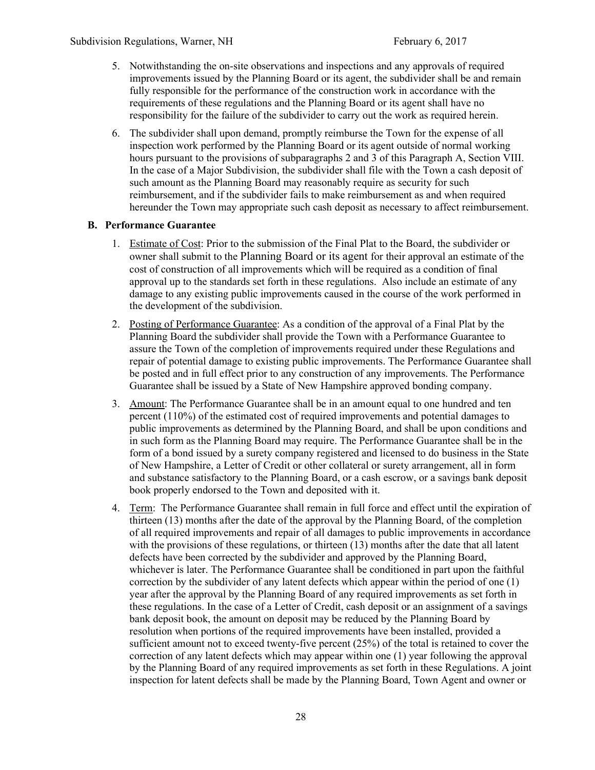- 5. Notwithstanding the on-site observations and inspections and any approvals of required improvements issued by the Planning Board or its agent, the subdivider shall be and remain fully responsible for the performance of the construction work in accordance with the requirements of these regulations and the Planning Board or its agent shall have no responsibility for the failure of the subdivider to carry out the work as required herein.
- 6. The subdivider shall upon demand, promptly reimburse the Town for the expense of all inspection work performed by the Planning Board or its agent outside of normal working hours pursuant to the provisions of subparagraphs 2 and 3 of this Paragraph A, Section VIII. In the case of a Major Subdivision, the subdivider shall file with the Town a cash deposit of such amount as the Planning Board may reasonably require as security for such reimbursement, and if the subdivider fails to make reimbursement as and when required hereunder the Town may appropriate such cash deposit as necessary to affect reimbursement.

#### **B. Performance Guarantee**

- 1. Estimate of Cost: Prior to the submission of the Final Plat to the Board, the subdivider or owner shall submit to the Planning Board or its agent for their approval an estimate of the cost of construction of all improvements which will be required as a condition of final approval up to the standards set forth in these regulations. Also include an estimate of any damage to any existing public improvements caused in the course of the work performed in the development of the subdivision.
- 2. Posting of Performance Guarantee: As a condition of the approval of a Final Plat by the Planning Board the subdivider shall provide the Town with a Performance Guarantee to assure the Town of the completion of improvements required under these Regulations and repair of potential damage to existing public improvements. The Performance Guarantee shall be posted and in full effect prior to any construction of any improvements. The Performance Guarantee shall be issued by a State of New Hampshire approved bonding company.
- 3. Amount: The Performance Guarantee shall be in an amount equal to one hundred and ten percent (110%) of the estimated cost of required improvements and potential damages to public improvements as determined by the Planning Board, and shall be upon conditions and in such form as the Planning Board may require. The Performance Guarantee shall be in the form of a bond issued by a surety company registered and licensed to do business in the State of New Hampshire, a Letter of Credit or other collateral or surety arrangement, all in form and substance satisfactory to the Planning Board, or a cash escrow, or a savings bank deposit book properly endorsed to the Town and deposited with it.
- 4. Term : The Performance Guarantee shall remain in full force and effect until the expiration of thirteen (13) months after the date of the approval by the Planning Board, of the completion of all required improvements and repair of all damages to public improvements in accordance with the provisions of these regulations, or thirteen (13) months after the date that all latent defects have been corrected by the subdivider and approved by the Planning Board, whichever is later. The Performance Guarantee shall be conditioned in part upon the faithful correction by the subdivider of any latent defects which appear within the period of one (1) year after the approval by the Planning Board of any required improvements as set forth in these regulations. In the case of a Letter of Credit, cash deposit or an assignment of a savings bank deposit book, the amount on deposit may be reduced by the Planning Board by resolution when portions of the required improvements have been installed, provided a sufficient amount not to exceed twenty-five percent (25%) of the total is retained to cover the correction of any latent defects which may appear within one (1) year following the approval by the Planning Board of any required improvements as set forth in these Regulations. A joint inspection for latent defects shall be made by the Planning Board, Town Agent and owner or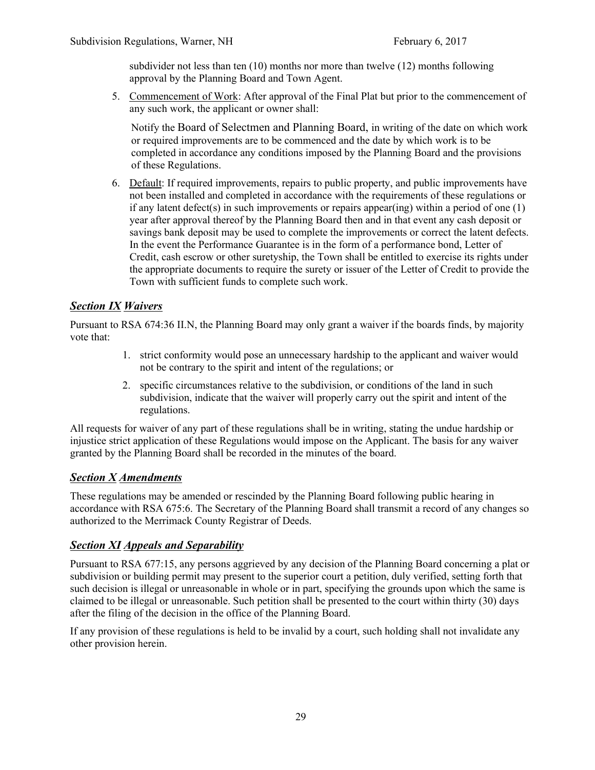subdivider not less than ten (10) months nor more than twelve (12) months following approval by the Planning Board and Town Agent.

5. Commencement of Work: After approval of the Final Plat but prior to the commencement of any such work, the applicant or owner shall:

Notify the Board of Selectmen and Planning Board, in writing of the date on which work or required improvements are to be commenced and the date by which work is to be completed in accordance any conditions imposed by the Planning Board and the provisions of these Regulations.

6. Default : If required improvements, repairs to public property, and public improvements have not been installed and completed in accordance with the requirements of these regulations or if any latent defect(s) in such improvements or repairs appear(ing) within a period of one  $(1)$ year after approval thereof by the Planning Board then and in that event any cash deposit or savings bank deposit may be used to complete the improvements or correct the latent defects. In the event the Performance Guarantee is in the form of a performance bond, Letter of Credit, cash escrow or other suretyship, the Town shall be entitled to exercise its rights under the appropriate documents to require the surety or issuer of the Letter of Credit to provide the Town with sufficient funds to complete such work.

## *Section IX Waivers*

Pursuant to RSA 674:36 II.N, the Planning Board may only grant a waiver if the boards finds, by majority vote that:

- 1. strict conformity would pose an unnecessary hardship to the applicant and waiver would not be contrary to the spirit and intent of the regulations; or
- 2. specific circumstances relative to the subdivision, or conditions of the land in such subdivision, indicate that the waiver will properly carry out the spirit and intent of the regulations.

All requests for waiver of any part of these regulations shall be in writing, stating the undue hardship or injustice strict application of these Regulations would impose on the Applicant. The basis for any waiver granted by the Planning Board shall be recorded in the minutes of the board.

## *Section X Amendments*

These regulations may be amended or rescinded by the Planning Board following public hearing in accordance with RSA 675:6. The Secretary of the Planning Board shall transmit a record of any changes so authorized to the Merrimack County Registrar of Deeds.

### *Section XI Appeals and Separability*

Pursuant to RSA 677:15, any persons aggrieved by any decision of the Planning Board concerning a plat or subdivision or building permit may present to the superior court a petition, duly verified, setting forth that such decision is illegal or unreasonable in whole or in part, specifying the grounds upon which the same is claimed to be illegal or unreasonable. Such petition shall be presented to the court within thirty (30) days after the filing of the decision in the office of the Planning Board.

If any provision of these regulations is held to be invalid by a court, such holding shall not invalidate any other provision herein.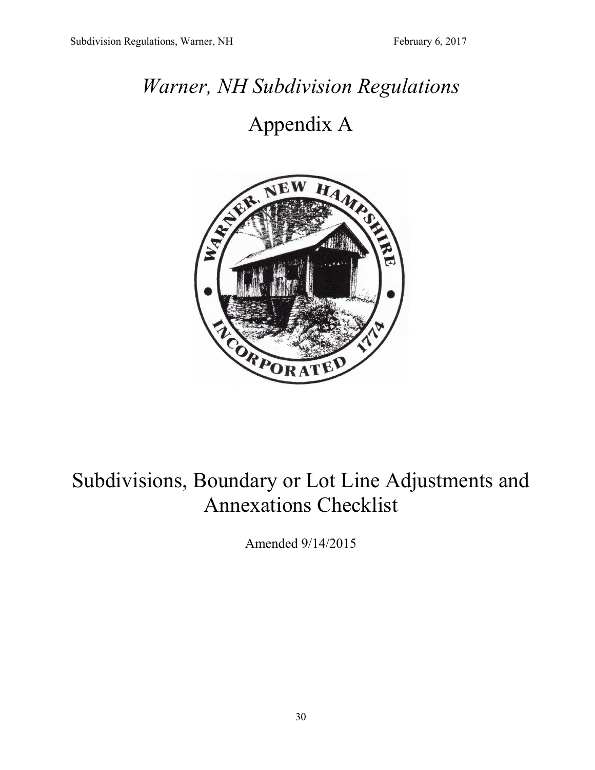# *Warner, NH Subdivision Regulations* Appendix A



# Subdivisions, Boundary or Lot Line Adjustments and Annexations Checklist

Amended 9/14/2015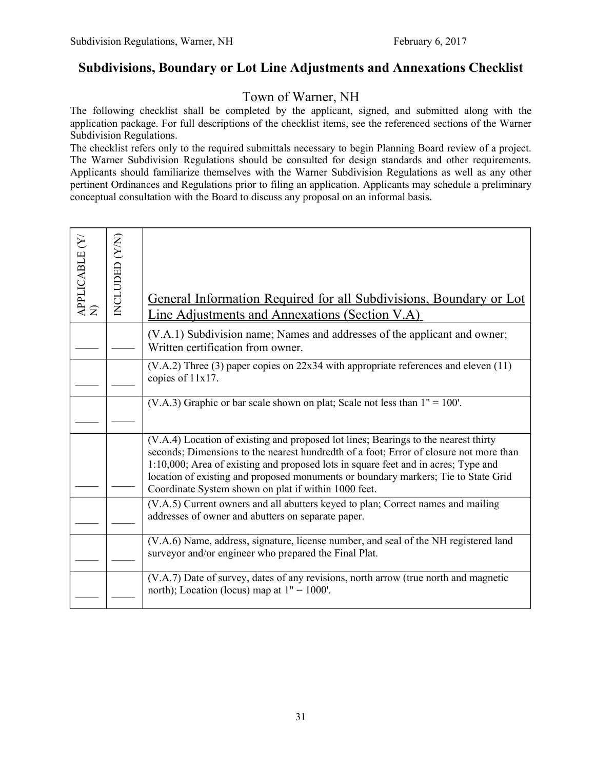# **Subdivisions, Boundary or Lot Line Adjustments and Annexations Checklist**

# Town of Warner, NH

The following checklist shall be completed by the applicant, signed, and submitted along with the application package. For full descriptions of the checklist items, see the referenced sections of the Warner Subdivision Regulations.

The checklist refers only to the required submittals necessary to begin Planning Board review of a project. The Warner Subdivision Regulations should be consulted for design standards and other requirements. Applicants should familiarize themselves with the Warner Subdivision Regulations as well as any other pertinent Ordinances and Regulations prior to filing an application. Applicants may schedule a preliminary conceptual consultation with the Board to discuss any proposal on an informal basis.

| $\begin{tabular}{l} \bf{APLLCABLE} \begin{tabular}{l} \bf{}} \\ \bf{N)} \end{tabular} \end{tabular}$ | NCLUDED (Y/N) | General Information Required for all Subdivisions, Boundary or Lot<br>Line Adjustments and Annexations (Section V.A)                                                                                                                                                                                                                                                                                              |
|------------------------------------------------------------------------------------------------------|---------------|-------------------------------------------------------------------------------------------------------------------------------------------------------------------------------------------------------------------------------------------------------------------------------------------------------------------------------------------------------------------------------------------------------------------|
|                                                                                                      |               | (V.A.1) Subdivision name; Names and addresses of the applicant and owner;<br>Written certification from owner.                                                                                                                                                                                                                                                                                                    |
|                                                                                                      |               | (V.A.2) Three (3) paper copies on 22x34 with appropriate references and eleven (11)<br>copies of 11x17.                                                                                                                                                                                                                                                                                                           |
|                                                                                                      |               | (V.A.3) Graphic or bar scale shown on plat; Scale not less than $1" = 100'$ .                                                                                                                                                                                                                                                                                                                                     |
|                                                                                                      |               | (V.A.4) Location of existing and proposed lot lines; Bearings to the nearest thirty<br>seconds; Dimensions to the nearest hundredth of a foot; Error of closure not more than<br>1:10,000; Area of existing and proposed lots in square feet and in acres; Type and<br>location of existing and proposed monuments or boundary markers; Tie to State Grid<br>Coordinate System shown on plat if within 1000 feet. |
|                                                                                                      |               | (V.A.5) Current owners and all abutters keyed to plan; Correct names and mailing<br>addresses of owner and abutters on separate paper.                                                                                                                                                                                                                                                                            |
|                                                                                                      |               | (V.A.6) Name, address, signature, license number, and seal of the NH registered land<br>surveyor and/or engineer who prepared the Final Plat.                                                                                                                                                                                                                                                                     |
|                                                                                                      |               | (V.A.7) Date of survey, dates of any revisions, north arrow (true north and magnetic<br>north); Location (locus) map at $1" = 1000'$ .                                                                                                                                                                                                                                                                            |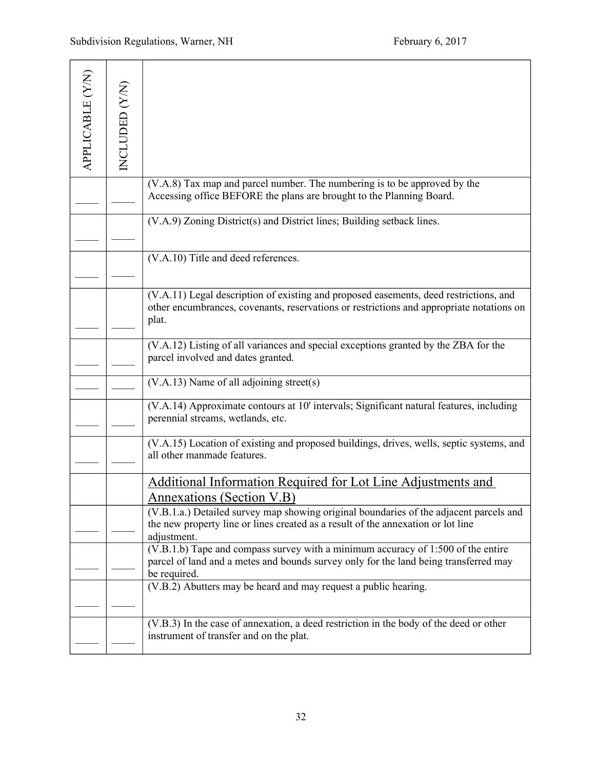| APPLICABLE (Y/N) | NCLUDED (YN) |                                                                                                                                                                                            |
|------------------|--------------|--------------------------------------------------------------------------------------------------------------------------------------------------------------------------------------------|
|                  |              | (V.A.8) Tax map and parcel number. The numbering is to be approved by the<br>Accessing office BEFORE the plans are brought to the Planning Board.                                          |
|                  |              | (V.A.9) Zoning District(s) and District lines; Building setback lines.                                                                                                                     |
|                  |              | (V.A.10) Title and deed references.                                                                                                                                                        |
|                  |              | (V.A.11) Legal description of existing and proposed easements, deed restrictions, and<br>other encumbrances, covenants, reservations or restrictions and appropriate notations on<br>plat. |
|                  |              | (V.A.12) Listing of all variances and special exceptions granted by the ZBA for the<br>parcel involved and dates granted.                                                                  |
|                  |              | (V.A.13) Name of all adjoining street(s)                                                                                                                                                   |
|                  |              | (V.A.14) Approximate contours at 10' intervals; Significant natural features, including<br>perennial streams, wetlands, etc.                                                               |
|                  |              | (V.A.15) Location of existing and proposed buildings, drives, wells, septic systems, and<br>all other manmade features.                                                                    |
|                  |              | <u>Additional Information Required for Lot Line Adjustments and</u><br><b>Annexations (Section V.B)</b>                                                                                    |
|                  |              | (V.B.1.a.) Detailed survey map showing original boundaries of the adjacent parcels and<br>the new property line or lines created as a result of the annexation or lot line<br>adjustment.  |
|                  |              | (V.B.1.b) Tape and compass survey with a minimum accuracy of 1:500 of the entire<br>parcel of land and a metes and bounds survey only for the land being transferred may<br>be required.   |
|                  |              | (V.B.2) Abutters may be heard and may request a public hearing.                                                                                                                            |
|                  |              | (V.B.3) In the case of annexation, a deed restriction in the body of the deed or other<br>instrument of transfer and on the plat.                                                          |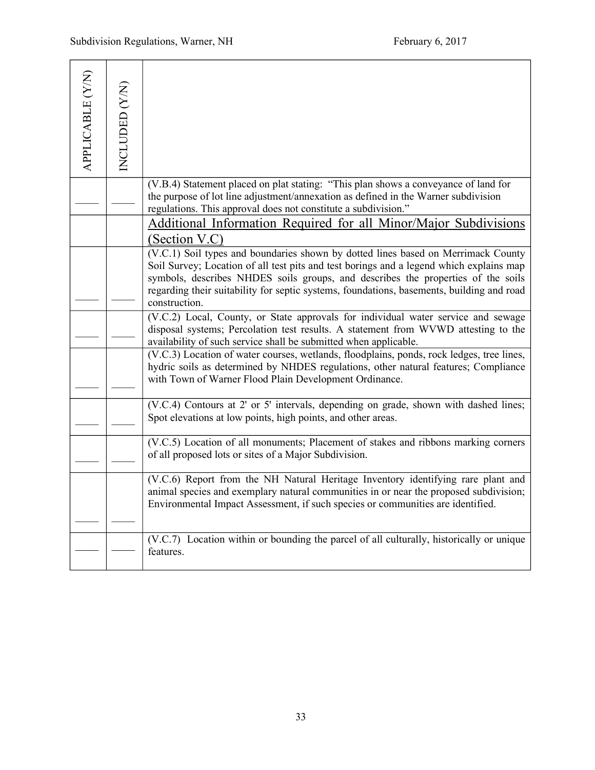| APPLICABLE (Y/N) | NCLUDED (YN) |                                                                                                                                                                                                                                                                                                                                                                                |
|------------------|--------------|--------------------------------------------------------------------------------------------------------------------------------------------------------------------------------------------------------------------------------------------------------------------------------------------------------------------------------------------------------------------------------|
|                  |              | (V.B.4) Statement placed on plat stating: "This plan shows a conveyance of land for<br>the purpose of lot line adjustment/annexation as defined in the Warner subdivision<br>regulations. This approval does not constitute a subdivision."                                                                                                                                    |
|                  |              | Additional Information Required for all Minor/Major Subdivisions<br>(Section V.C)                                                                                                                                                                                                                                                                                              |
|                  |              | (V.C.1) Soil types and boundaries shown by dotted lines based on Merrimack County<br>Soil Survey; Location of all test pits and test borings and a legend which explains map<br>symbols, describes NHDES soils groups, and describes the properties of the soils<br>regarding their suitability for septic systems, foundations, basements, building and road<br>construction. |
|                  |              | (V.C.2) Local, County, or State approvals for individual water service and sewage<br>disposal systems; Percolation test results. A statement from WVWD attesting to the<br>availability of such service shall be submitted when applicable.                                                                                                                                    |
|                  |              | (V.C.3) Location of water courses, wetlands, floodplains, ponds, rock ledges, tree lines,<br>hydric soils as determined by NHDES regulations, other natural features; Compliance<br>with Town of Warner Flood Plain Development Ordinance.                                                                                                                                     |
|                  |              | (V.C.4) Contours at 2' or 5' intervals, depending on grade, shown with dashed lines;<br>Spot elevations at low points, high points, and other areas.                                                                                                                                                                                                                           |
|                  |              | (V.C.5) Location of all monuments; Placement of stakes and ribbons marking corners<br>of all proposed lots or sites of a Major Subdivision.                                                                                                                                                                                                                                    |
|                  |              | (V.C.6) Report from the NH Natural Heritage Inventory identifying rare plant and<br>animal species and exemplary natural communities in or near the proposed subdivision;<br>Environmental Impact Assessment, if such species or communities are identified.                                                                                                                   |
|                  |              |                                                                                                                                                                                                                                                                                                                                                                                |
|                  |              | (V.C.7) Location within or bounding the parcel of all culturally, historically or unique<br>features.                                                                                                                                                                                                                                                                          |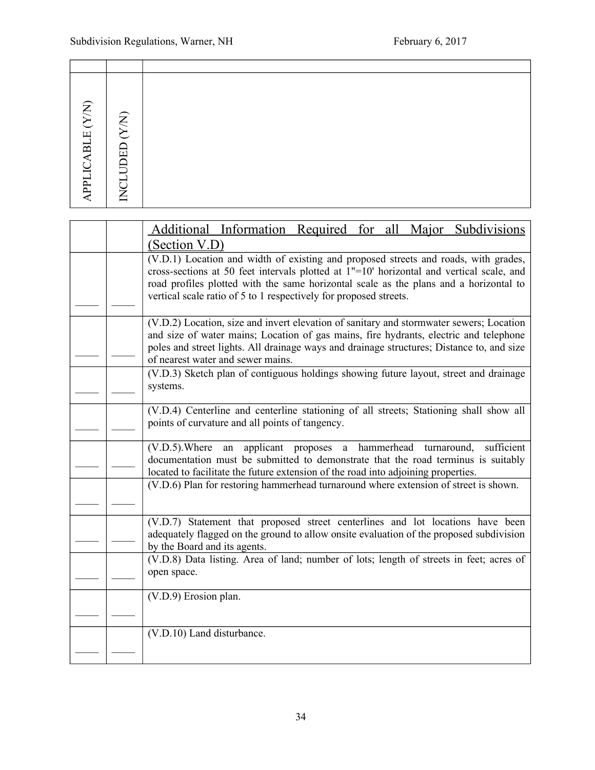| APPLICABLE (Y/N) | INCLUDED (Y/N) |                                                                                                                                                                                                                                                                                                                                                 |
|------------------|----------------|-------------------------------------------------------------------------------------------------------------------------------------------------------------------------------------------------------------------------------------------------------------------------------------------------------------------------------------------------|
|                  |                |                                                                                                                                                                                                                                                                                                                                                 |
|                  |                | Additional Information Required for all<br>Major Subdivisions                                                                                                                                                                                                                                                                                   |
|                  |                | (Section V.D)                                                                                                                                                                                                                                                                                                                                   |
|                  |                | (V.D.1) Location and width of existing and proposed streets and roads, with grades,<br>cross-sections at 50 feet intervals plotted at $1"=10'$ horizontal and vertical scale, and<br>road profiles plotted with the same horizontal scale as the plans and a horizontal to<br>vertical scale ratio of 5 to 1 respectively for proposed streets. |
|                  |                | (V.D.2) Location, size and invert elevation of sanitary and stormwater sewers; Location                                                                                                                                                                                                                                                         |
|                  |                | and size of water mains; Location of gas mains, fire hydrants, electric and telephone<br>poles and street lights. All drainage ways and drainage structures; Distance to, and size                                                                                                                                                              |
|                  |                | of nearest water and sewer mains.                                                                                                                                                                                                                                                                                                               |
|                  |                | (V.D.3) Sketch plan of contiguous holdings showing future layout, street and drainage<br>systems.                                                                                                                                                                                                                                               |
|                  |                | (V.D.4) Centerline and centerline stationing of all streets; Stationing shall show all<br>points of curvature and all points of tangency.                                                                                                                                                                                                       |
|                  |                | applicant<br>hammerhead<br>sufficient<br>$(V.D.5)$ . Where<br>proposes<br>${\rm an}$<br>a<br>turnaround,<br>documentation must be submitted to demonstrate that the road terminus is suitably<br>located to facilitate the future extension of the road into adjoining properties.                                                              |
|                  |                | (V.D.6) Plan for restoring hammerhead turnaround where extension of street is shown.                                                                                                                                                                                                                                                            |
|                  |                |                                                                                                                                                                                                                                                                                                                                                 |
|                  |                | (V.D.7) Statement that proposed street centerlines and lot locations have been<br>adequately flagged on the ground to allow onsite evaluation of the proposed subdivision<br>by the Board and its agents.                                                                                                                                       |
|                  |                | (V.D.8) Data listing. Area of land; number of lots; length of streets in feet; acres of<br>open space.                                                                                                                                                                                                                                          |
|                  |                | (V.D.9) Erosion plan.                                                                                                                                                                                                                                                                                                                           |
|                  |                |                                                                                                                                                                                                                                                                                                                                                 |
|                  |                | (V.D.10) Land disturbance.                                                                                                                                                                                                                                                                                                                      |
|                  |                |                                                                                                                                                                                                                                                                                                                                                 |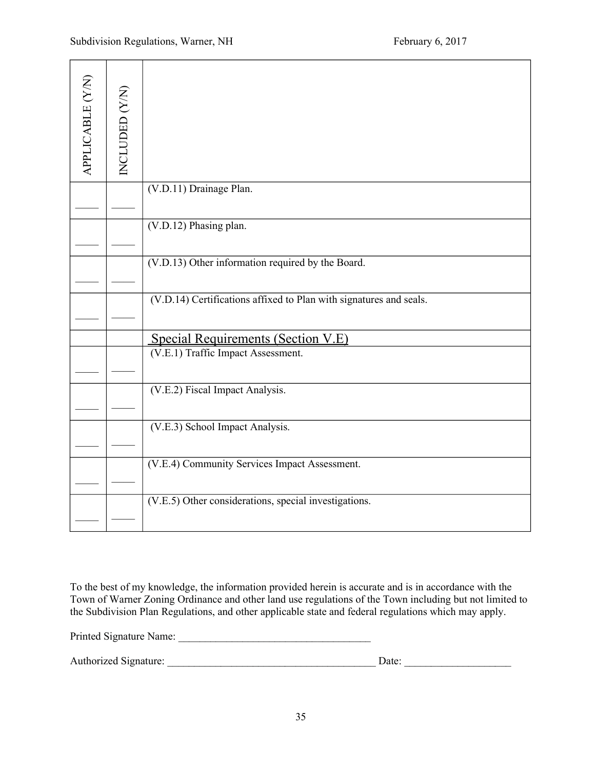| APPLICABLE (Y/N) | INCLUDED (Y/N) |                                                                    |
|------------------|----------------|--------------------------------------------------------------------|
|                  |                | (V.D.11) Drainage Plan.                                            |
|                  |                | (V.D.12) Phasing plan.                                             |
|                  |                | (V.D.13) Other information required by the Board.                  |
|                  |                | (V.D.14) Certifications affixed to Plan with signatures and seals. |
|                  |                | Special Requirements (Section V.E)                                 |
|                  |                | (V.E.1) Traffic Impact Assessment.                                 |
|                  |                | (V.E.2) Fiscal Impact Analysis.                                    |
|                  |                | (V.E.3) School Impact Analysis.                                    |
|                  |                | (V.E.4) Community Services Impact Assessment.                      |
|                  |                | (V.E.5) Other considerations, special investigations.              |

To the best of my knowledge, the information provided herein is accurate and is in accordance with the Town of Warner Zoning Ordinance and other land use regulations of the Town including but not limited to the Subdivision Plan Regulations, and other applicable state and federal regulations which may apply.

Printed Signature Name: \_\_\_\_\_\_\_\_\_\_\_\_\_\_\_\_\_\_\_\_\_\_\_\_\_\_\_\_\_\_\_\_\_\_\_\_

| Authorized Signature: | Jate |
|-----------------------|------|
|                       |      |